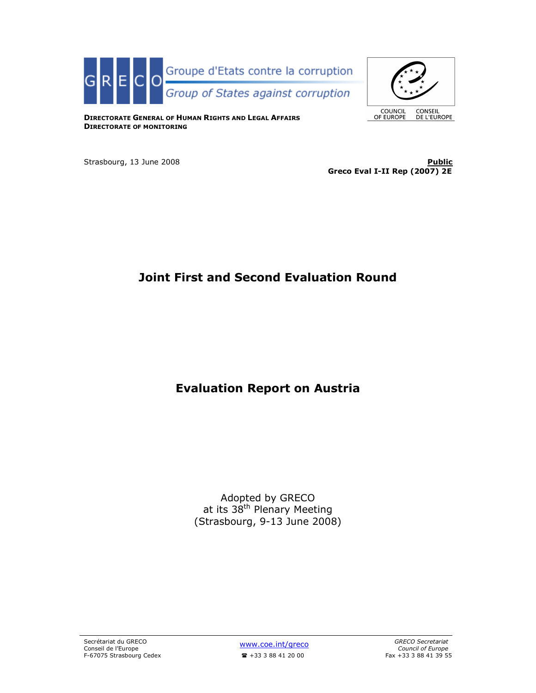



DIRECTORATE GENERAL OF HUMAN RIGHTS AND LEGAL AFFAIRS DIRECTORATE OF MONITORING

Strasbourg, 13 June 2008 **Public Public 19th Strasbourg, 13 June 2008** Greco Eval I-II Rep (2007) 2E

# Joint First and Second Evaluation Round

# Evaluation Report on Austria

Adopted by GRECO at its 38<sup>th</sup> Plenary Meeting (Strasbourg, 9-13 June 2008)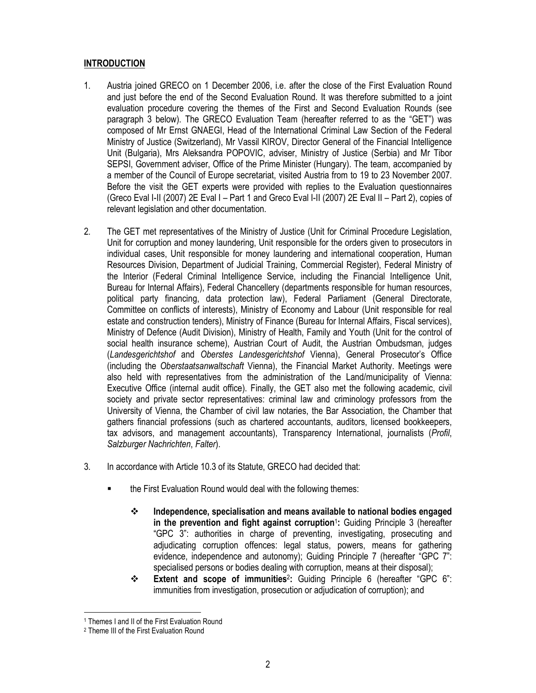# INTRODUCTION

- 1. Austria joined GRECO on 1 December 2006, i.e. after the close of the First Evaluation Round and just before the end of the Second Evaluation Round. It was therefore submitted to a joint evaluation procedure covering the themes of the First and Second Evaluation Rounds (see paragraph 3 below). The GRECO Evaluation Team (hereafter referred to as the "GET") was composed of Mr Ernst GNAEGI, Head of the International Criminal Law Section of the Federal Ministry of Justice (Switzerland), Mr Vassil KIROV, Director General of the Financial Intelligence Unit (Bulgaria), Mrs Aleksandra POPOVIC, adviser, Ministry of Justice (Serbia) and Mr Tibor SEPSI, Government adviser, Office of the Prime Minister (Hungary). The team, accompanied by a member of the Council of Europe secretariat, visited Austria from to 19 to 23 November 2007. Before the visit the GET experts were provided with replies to the Evaluation questionnaires (Greco Eval I-II (2007) 2E Eval I – Part 1 and Greco Eval I-II (2007) 2E Eval II – Part 2), copies of relevant legislation and other documentation.
- 2. The GET met representatives of the Ministry of Justice (Unit for Criminal Procedure Legislation, Unit for corruption and money laundering, Unit responsible for the orders given to prosecutors in individual cases, Unit responsible for money laundering and international cooperation, Human Resources Division, Department of Judicial Training, Commercial Register), Federal Ministry of the Interior (Federal Criminal Intelligence Service, including the Financial Intelligence Unit, Bureau for Internal Affairs), Federal Chancellery (departments responsible for human resources, political party financing, data protection law), Federal Parliament (General Directorate, Committee on conflicts of interests), Ministry of Economy and Labour (Unit responsible for real estate and construction tenders), Ministry of Finance (Bureau for Internal Affairs, Fiscal services), Ministry of Defence (Audit Division), Ministry of Health, Family and Youth (Unit for the control of social health insurance scheme), Austrian Court of Audit, the Austrian Ombudsman, judges (Landesgerichtshof and Oberstes Landesgerichtshof Vienna), General Prosecutor's Office (including the Oberstaatsanwaltschaft Vienna), the Financial Market Authority. Meetings were also held with representatives from the administration of the Land/municipality of Vienna: Executive Office (internal audit office). Finally, the GET also met the following academic, civil society and private sector representatives: criminal law and criminology professors from the University of Vienna, the Chamber of civil law notaries, the Bar Association, the Chamber that gathers financial professions (such as chartered accountants, auditors, licensed bookkeepers, tax advisors, and management accountants), Transparency International, journalists (Profil, Salzburger Nachrichten, Falter).
- 3. In accordance with Article 10.3 of its Statute, GRECO had decided that:
	- the First Evaluation Round would deal with the following themes:
		- $\cdot$  Independence, specialisation and means available to national bodies engaged in the prevention and fight against corruption<sup>1</sup>: Guiding Principle 3 (hereafter "GPC 3": authorities in charge of preventing, investigating, prosecuting and adjudicating corruption offences: legal status, powers, means for gathering evidence, independence and autonomy); Guiding Principle 7 (hereafter "GPC 7": specialised persons or bodies dealing with corruption, means at their disposal);
		- Extent and scope of immunities<sup>2</sup> : Guiding Principle 6 (hereafter "GPC 6": immunities from investigation, prosecution or adjudication of corruption); and

 $\overline{a}$ 1 Themes I and II of the First Evaluation Round

<sup>2</sup> Theme III of the First Evaluation Round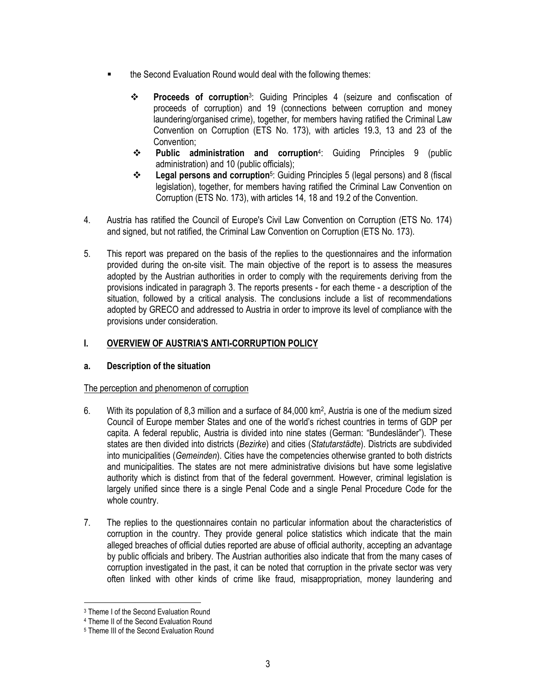- the Second Evaluation Round would deal with the following themes:
	- \* Proceeds of corruption<sup>3</sup>: Guiding Principles 4 (seizure and confiscation of proceeds of corruption) and 19 (connections between corruption and money laundering/organised crime), together, for members having ratified the Criminal Law Convention on Corruption (ETS No. 173), with articles 19.3, 13 and 23 of the Convention;
	- Public administration and corruption<sup>4</sup> : Guiding Principles 9 (public administration) and 10 (public officials);
	- Legal persons and corruption<sup>5</sup> : Guiding Principles 5 (legal persons) and 8 (fiscal legislation), together, for members having ratified the Criminal Law Convention on Corruption (ETS No. 173), with articles 14, 18 and 19.2 of the Convention.
- 4. Austria has ratified the Council of Europe's Civil Law Convention on Corruption (ETS No. 174) and signed, but not ratified, the Criminal Law Convention on Corruption (ETS No. 173).
- 5. This report was prepared on the basis of the replies to the questionnaires and the information provided during the on-site visit. The main objective of the report is to assess the measures adopted by the Austrian authorities in order to comply with the requirements deriving from the provisions indicated in paragraph 3. The reports presents - for each theme - a description of the situation, followed by a critical analysis. The conclusions include a list of recommendations adopted by GRECO and addressed to Austria in order to improve its level of compliance with the provisions under consideration.

# I. OVERVIEW OF AUSTRIA'S ANTI-CORRUPTION POLICY

# a. Description of the situation

# The perception and phenomenon of corruption

- 6. With its population of 8,3 million and a surface of 84,000 km<sup>2</sup>, Austria is one of the medium sized Council of Europe member States and one of the world's richest countries in terms of GDP per capita. A federal republic, Austria is divided into nine states (German: "Bundesländer"). These states are then divided into districts (Bezirke) and cities (Statutarstädte). Districts are subdivided into municipalities (Gemeinden). Cities have the competencies otherwise granted to both districts and municipalities. The states are not mere administrative divisions but have some legislative authority which is distinct from that of the federal government. However, criminal legislation is largely unified since there is a single Penal Code and a single Penal Procedure Code for the whole country.
- 7. The replies to the questionnaires contain no particular information about the characteristics of corruption in the country. They provide general police statistics which indicate that the main alleged breaches of official duties reported are abuse of official authority, accepting an advantage by public officials and bribery. The Austrian authorities also indicate that from the many cases of corruption investigated in the past, it can be noted that corruption in the private sector was very often linked with other kinds of crime like fraud, misappropriation, money laundering and

 $\overline{a}$ 

<sup>3</sup> Theme I of the Second Evaluation Round

<sup>4</sup> Theme II of the Second Evaluation Round

<sup>5</sup> Theme III of the Second Evaluation Round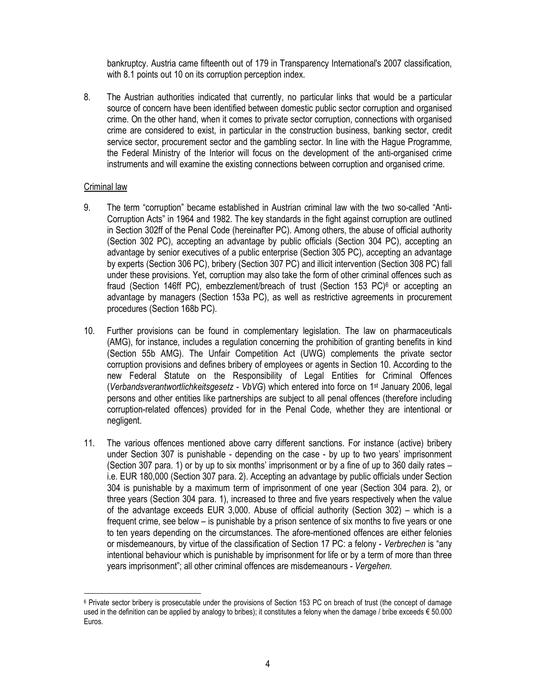bankruptcy. Austria came fifteenth out of 179 in Transparency International's 2007 classification, with 8.1 points out 10 on its corruption perception index.

8. The Austrian authorities indicated that currently, no particular links that would be a particular source of concern have been identified between domestic public sector corruption and organised crime. On the other hand, when it comes to private sector corruption, connections with organised crime are considered to exist, in particular in the construction business, banking sector, credit service sector, procurement sector and the gambling sector. In line with the Hague Programme, the Federal Ministry of the Interior will focus on the development of the anti-organised crime instruments and will examine the existing connections between corruption and organised crime.

### Criminal law

- 9. The term "corruption" became established in Austrian criminal law with the two so-called "Anti-Corruption Acts" in 1964 and 1982. The key standards in the fight against corruption are outlined in Section 302ff of the Penal Code (hereinafter PC). Among others, the abuse of official authority (Section 302 PC), accepting an advantage by public officials (Section 304 PC), accepting an advantage by senior executives of a public enterprise (Section 305 PC), accepting an advantage by experts (Section 306 PC), bribery (Section 307 PC) and illicit intervention (Section 308 PC) fall under these provisions. Yet, corruption may also take the form of other criminal offences such as fraud (Section 146ff PC), embezzlement/breach of trust (Section 153 PC)<sup>6</sup> or accepting an advantage by managers (Section 153a PC), as well as restrictive agreements in procurement procedures (Section 168b PC).
- 10. Further provisions can be found in complementary legislation. The law on pharmaceuticals (AMG), for instance, includes a regulation concerning the prohibition of granting benefits in kind (Section 55b AMG). The Unfair Competition Act (UWG) complements the private sector corruption provisions and defines bribery of employees or agents in Section 10. According to the new Federal Statute on the Responsibility of Legal Entities for Criminal Offences (Verbandsverantwortlichkeitsgesetz - VbVG) which entered into force on 1st January 2006, legal persons and other entities like partnerships are subject to all penal offences (therefore including corruption-related offences) provided for in the Penal Code, whether they are intentional or negligent.
- 11. The various offences mentioned above carry different sanctions. For instance (active) bribery under Section 307 is punishable - depending on the case - by up to two years' imprisonment (Section 307 para. 1) or by up to six months' imprisonment or by a fine of up to 360 daily rates – i.e. EUR 180,000 (Section 307 para. 2). Accepting an advantage by public officials under Section 304 is punishable by a maximum term of imprisonment of one year (Section 304 para. 2), or three years (Section 304 para. 1), increased to three and five years respectively when the value of the advantage exceeds EUR 3,000. Abuse of official authority (Section 302) – which is a frequent crime, see below – is punishable by a prison sentence of six months to five years or one to ten years depending on the circumstances. The afore-mentioned offences are either felonies or misdemeanours, by virtue of the classification of Section 17 PC: a felony - Verbrechen is "any intentional behaviour which is punishable by imprisonment for life or by a term of more than three years imprisonment"; all other criminal offences are misdemeanours - Vergehen.

 $\overline{a}$ <sup>6</sup> Private sector bribery is prosecutable under the provisions of Section 153 PC on breach of trust (the concept of damage used in the definition can be applied by analogy to bribes); it constitutes a felony when the damage / bribe exceeds  $\epsilon$  50.000 Euros.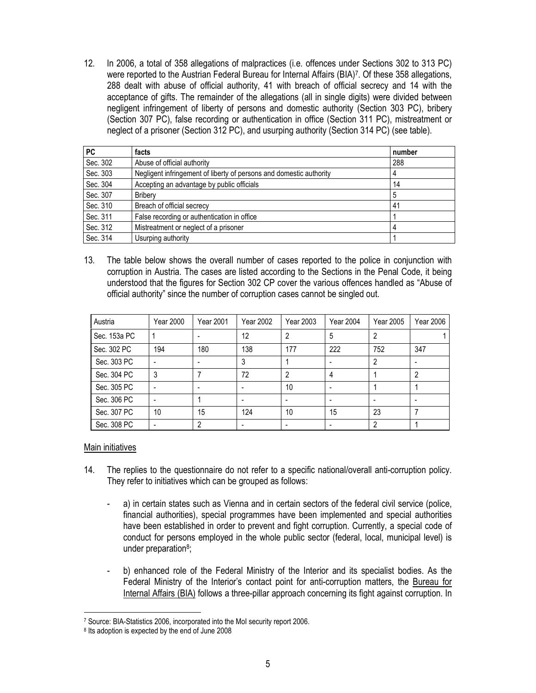12. In 2006, a total of 358 allegations of malpractices (i.e. offences under Sections 302 to 313 PC) were reported to the Austrian Federal Bureau for Internal Affairs (BIA)<sup>7</sup> . Of these 358 allegations, 288 dealt with abuse of official authority, 41 with breach of official secrecy and 14 with the acceptance of gifts. The remainder of the allegations (all in single digits) were divided between negligent infringement of liberty of persons and domestic authority (Section 303 PC), bribery (Section 307 PC), false recording or authentication in office (Section 311 PC), mistreatment or neglect of a prisoner (Section 312 PC), and usurping authority (Section 314 PC) (see table).

| <b>PC</b> | facts                                                               | number |
|-----------|---------------------------------------------------------------------|--------|
| Sec. 302  | Abuse of official authority                                         | 288    |
| Sec. 303  | Negligent infringement of liberty of persons and domestic authority |        |
| Sec. 304  | Accepting an advantage by public officials                          | 14     |
| Sec. 307  | <b>Bribery</b>                                                      | 5      |
| Sec. 310  | Breach of official secrecy                                          | 41     |
| Sec. 311  | False recording or authentication in office                         |        |
| Sec. 312  | Mistreatment or neglect of a prisoner                               |        |
| Sec. 314  | Usurping authority                                                  |        |

13. The table below shows the overall number of cases reported to the police in conjunction with corruption in Austria. The cases are listed according to the Sections in the Penal Code, it being understood that the figures for Section 302 CP cover the various offences handled as "Abuse of official authority" since the number of corruption cases cannot be singled out.

| Austria      | Year 2000 | Year 2001                | Year 2002 | Year 2003       | <b>Year 2004</b> | <b>Year 2005</b> | Year 2006 |
|--------------|-----------|--------------------------|-----------|-----------------|------------------|------------------|-----------|
| Sec. 153a PC |           |                          | 12        |                 | 5                |                  |           |
| Sec. 302 PC  | 194       | 180                      | 138       | 177             | 222              | 752              | 347       |
| Sec. 303 PC  |           |                          | 3         |                 |                  | 2                |           |
| Sec. 304 PC  | 3         |                          | 72        | 2               | 4                |                  | 2         |
| Sec. 305 PC  |           | $\overline{\phantom{a}}$ |           | 10 <sup>°</sup> |                  |                  |           |
| Sec. 306 PC  |           |                          |           |                 |                  |                  |           |
| Sec. 307 PC  | 10        | 15                       | 124       | 10              | 15               | 23               |           |
| Sec. 308 PC  |           | 2                        |           |                 |                  | っ                |           |

# Main initiatives

- 14. The replies to the questionnaire do not refer to a specific national/overall anti-corruption policy. They refer to initiatives which can be grouped as follows:
	- a) in certain states such as Vienna and in certain sectors of the federal civil service (police, financial authorities), special programmes have been implemented and special authorities have been established in order to prevent and fight corruption. Currently, a special code of conduct for persons employed in the whole public sector (federal, local, municipal level) is under preparation<sup>8</sup>;
	- b) enhanced role of the Federal Ministry of the Interior and its specialist bodies. As the Federal Ministry of the Interior's contact point for anti-corruption matters, the Bureau for Internal Affairs (BIA) follows a three-pillar approach concerning its fight against corruption. In

 $\overline{a}$ 7 Source: BIA-Statistics 2006, incorporated into the MoI security report 2006.

<sup>8</sup> Its adoption is expected by the end of June 2008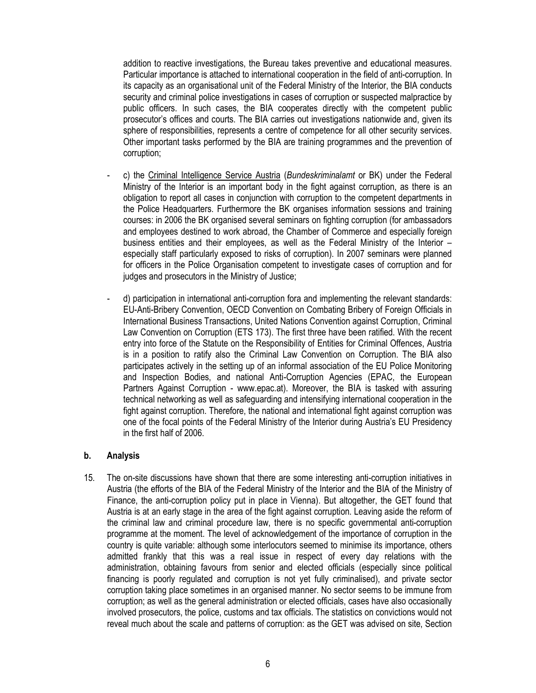addition to reactive investigations, the Bureau takes preventive and educational measures. Particular importance is attached to international cooperation in the field of anti-corruption. In its capacity as an organisational unit of the Federal Ministry of the Interior, the BIA conducts security and criminal police investigations in cases of corruption or suspected malpractice by public officers. In such cases, the BIA cooperates directly with the competent public prosecutor's offices and courts. The BIA carries out investigations nationwide and, given its sphere of responsibilities, represents a centre of competence for all other security services. Other important tasks performed by the BIA are training programmes and the prevention of corruption;

- c) the Criminal Intelligence Service Austria (Bundeskriminalamt or BK) under the Federal Ministry of the Interior is an important body in the fight against corruption, as there is an obligation to report all cases in conjunction with corruption to the competent departments in the Police Headquarters. Furthermore the BK organises information sessions and training courses: in 2006 the BK organised several seminars on fighting corruption (for ambassadors and employees destined to work abroad, the Chamber of Commerce and especially foreign business entities and their employees, as well as the Federal Ministry of the Interior – especially staff particularly exposed to risks of corruption). In 2007 seminars were planned for officers in the Police Organisation competent to investigate cases of corruption and for judges and prosecutors in the Ministry of Justice;
- d) participation in international anti-corruption fora and implementing the relevant standards: EU-Anti-Bribery Convention, OECD Convention on Combating Bribery of Foreign Officials in International Business Transactions, United Nations Convention against Corruption, Criminal Law Convention on Corruption (ETS 173). The first three have been ratified. With the recent entry into force of the Statute on the Responsibility of Entities for Criminal Offences, Austria is in a position to ratify also the Criminal Law Convention on Corruption. The BIA also participates actively in the setting up of an informal association of the EU Police Monitoring and Inspection Bodies, and national Anti-Corruption Agencies (EPAC, the European Partners Against Corruption - www.epac.at). Moreover, the BIA is tasked with assuring technical networking as well as safeguarding and intensifying international cooperation in the fight against corruption. Therefore, the national and international fight against corruption was one of the focal points of the Federal Ministry of the Interior during Austria's EU Presidency in the first half of 2006.

### b. Analysis

15. The on-site discussions have shown that there are some interesting anti-corruption initiatives in Austria (the efforts of the BIA of the Federal Ministry of the Interior and the BIA of the Ministry of Finance, the anti-corruption policy put in place in Vienna). But altogether, the GET found that Austria is at an early stage in the area of the fight against corruption. Leaving aside the reform of the criminal law and criminal procedure law, there is no specific governmental anti-corruption programme at the moment. The level of acknowledgement of the importance of corruption in the country is quite variable: although some interlocutors seemed to minimise its importance, others admitted frankly that this was a real issue in respect of every day relations with the administration, obtaining favours from senior and elected officials (especially since political financing is poorly regulated and corruption is not yet fully criminalised), and private sector corruption taking place sometimes in an organised manner. No sector seems to be immune from corruption; as well as the general administration or elected officials, cases have also occasionally involved prosecutors, the police, customs and tax officials. The statistics on convictions would not reveal much about the scale and patterns of corruption: as the GET was advised on site, Section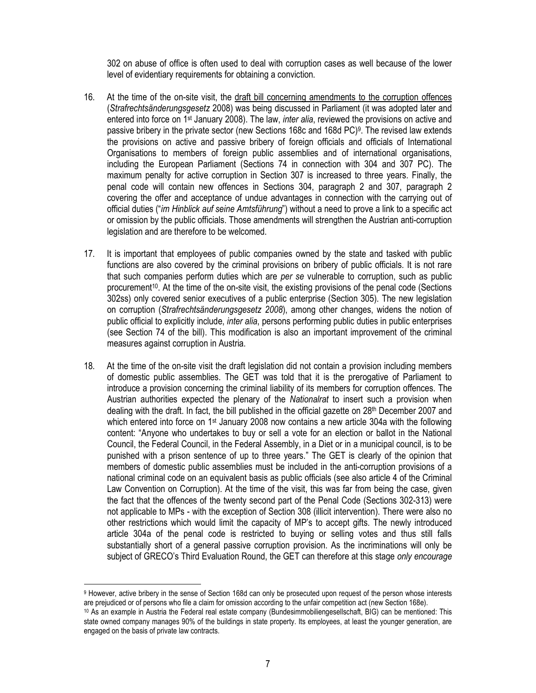302 on abuse of office is often used to deal with corruption cases as well because of the lower level of evidentiary requirements for obtaining a conviction.

- 16. At the time of the on-site visit, the draft bill concerning amendments to the corruption offences (Strafrechtsänderungsgesetz 2008) was being discussed in Parliament (it was adopted later and entered into force on 1st January 2008). The law, inter alia, reviewed the provisions on active and passive bribery in the private sector (new Sections 168c and 168d PC)<sup>9</sup> . The revised law extends the provisions on active and passive bribery of foreign officials and officials of International Organisations to members of foreign public assemblies and of international organisations, including the European Parliament (Sections 74 in connection with 304 and 307 PC). The maximum penalty for active corruption in Section 307 is increased to three years. Finally, the penal code will contain new offences in Sections 304, paragraph 2 and 307, paragraph 2 covering the offer and acceptance of undue advantages in connection with the carrying out of official duties ("im Hinblick auf seine Amtsführung") without a need to prove a link to a specific act or omission by the public officials. Those amendments will strengthen the Austrian anti-corruption legislation and are therefore to be welcomed.
- 17. It is important that employees of public companies owned by the state and tasked with public functions are also covered by the criminal provisions on bribery of public officials. It is not rare that such companies perform duties which are per se vulnerable to corruption, such as public procurement<sup>10</sup>. At the time of the on-site visit, the existing provisions of the penal code (Sections 302ss) only covered senior executives of a public enterprise (Section 305). The new legislation on corruption (Strafrechtsänderungsgesetz 2008), among other changes, widens the notion of public official to explicitly include, inter alia, persons performing public duties in public enterprises (see Section 74 of the bill). This modification is also an important improvement of the criminal measures against corruption in Austria.
- 18. At the time of the on-site visit the draft legislation did not contain a provision including members of domestic public assemblies. The GET was told that it is the prerogative of Parliament to introduce a provision concerning the criminal liability of its members for corruption offences. The Austrian authorities expected the plenary of the Nationalrat to insert such a provision when dealing with the draft. In fact, the bill published in the official gazette on 28th December 2007 and which entered into force on  $1st$  January 2008 now contains a new article 304a with the following content: "Anyone who undertakes to buy or sell a vote for an election or ballot in the National Council, the Federal Council, in the Federal Assembly, in a Diet or in a municipal council, is to be punished with a prison sentence of up to three years." The GET is clearly of the opinion that members of domestic public assemblies must be included in the anti-corruption provisions of a national criminal code on an equivalent basis as public officials (see also article 4 of the Criminal Law Convention on Corruption). At the time of the visit, this was far from being the case, given the fact that the offences of the twenty second part of the Penal Code (Sections 302-313) were not applicable to MPs - with the exception of Section 308 (illicit intervention). There were also no other restrictions which would limit the capacity of MP's to accept gifts. The newly introduced article 304a of the penal code is restricted to buying or selling votes and thus still falls substantially short of a general passive corruption provision. As the incriminations will only be subject of GRECO's Third Evaluation Round, the GET can therefore at this stage only encourage

 $\overline{a}$ 

<sup>9</sup> However, active bribery in the sense of Section 168d can only be prosecuted upon request of the person whose interests are prejudiced or of persons who file a claim for omission according to the unfair competition act (new Section 168e).

<sup>10</sup> As an example in Austria the Federal real estate company (Bundesimmobiliengesellschaft, BIG) can be mentioned: This state owned company manages 90% of the buildings in state property. Its employees, at least the younger generation, are engaged on the basis of private law contracts.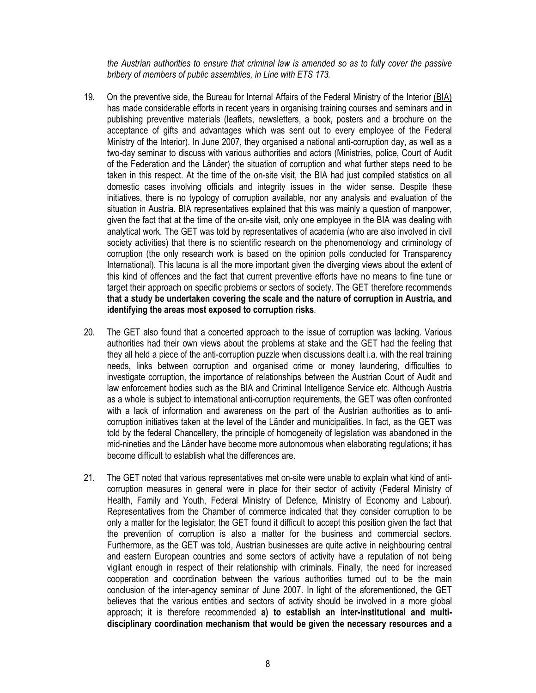the Austrian authorities to ensure that criminal law is amended so as to fully cover the passive bribery of members of public assemblies, in Line with ETS 173.

- 19. On the preventive side, the Bureau for Internal Affairs of the Federal Ministry of the Interior (BIA) has made considerable efforts in recent years in organising training courses and seminars and in publishing preventive materials (leaflets, newsletters, a book, posters and a brochure on the acceptance of gifts and advantages which was sent out to every employee of the Federal Ministry of the Interior). In June 2007, they organised a national anti-corruption day, as well as a two-day seminar to discuss with various authorities and actors (Ministries, police, Court of Audit of the Federation and the Länder) the situation of corruption and what further steps need to be taken in this respect. At the time of the on-site visit, the BIA had just compiled statistics on all domestic cases involving officials and integrity issues in the wider sense. Despite these initiatives, there is no typology of corruption available, nor any analysis and evaluation of the situation in Austria. BIA representatives explained that this was mainly a question of manpower, given the fact that at the time of the on-site visit, only one employee in the BIA was dealing with analytical work. The GET was told by representatives of academia (who are also involved in civil society activities) that there is no scientific research on the phenomenology and criminology of corruption (the only research work is based on the opinion polls conducted for Transparency International). This lacuna is all the more important given the diverging views about the extent of this kind of offences and the fact that current preventive efforts have no means to fine tune or target their approach on specific problems or sectors of society. The GET therefore recommends that a study be undertaken covering the scale and the nature of corruption in Austria, and identifying the areas most exposed to corruption risks.
- 20. The GET also found that a concerted approach to the issue of corruption was lacking. Various authorities had their own views about the problems at stake and the GET had the feeling that they all held a piece of the anti-corruption puzzle when discussions dealt i.a. with the real training needs, links between corruption and organised crime or money laundering, difficulties to investigate corruption, the importance of relationships between the Austrian Court of Audit and law enforcement bodies such as the BIA and Criminal Intelligence Service etc. Although Austria as a whole is subject to international anti-corruption requirements, the GET was often confronted with a lack of information and awareness on the part of the Austrian authorities as to anticorruption initiatives taken at the level of the Länder and municipalities. In fact, as the GET was told by the federal Chancellery, the principle of homogeneity of legislation was abandoned in the mid-nineties and the Länder have become more autonomous when elaborating regulations; it has become difficult to establish what the differences are.
- 21. The GET noted that various representatives met on-site were unable to explain what kind of anticorruption measures in general were in place for their sector of activity (Federal Ministry of Health, Family and Youth, Federal Ministry of Defence, Ministry of Economy and Labour). Representatives from the Chamber of commerce indicated that they consider corruption to be only a matter for the legislator; the GET found it difficult to accept this position given the fact that the prevention of corruption is also a matter for the business and commercial sectors. Furthermore, as the GET was told, Austrian businesses are quite active in neighbouring central and eastern European countries and some sectors of activity have a reputation of not being vigilant enough in respect of their relationship with criminals. Finally, the need for increased cooperation and coordination between the various authorities turned out to be the main conclusion of the inter-agency seminar of June 2007. In light of the aforementioned, the GET believes that the various entities and sectors of activity should be involved in a more global approach; it is therefore recommended a) to establish an inter-institutional and multidisciplinary coordination mechanism that would be given the necessary resources and a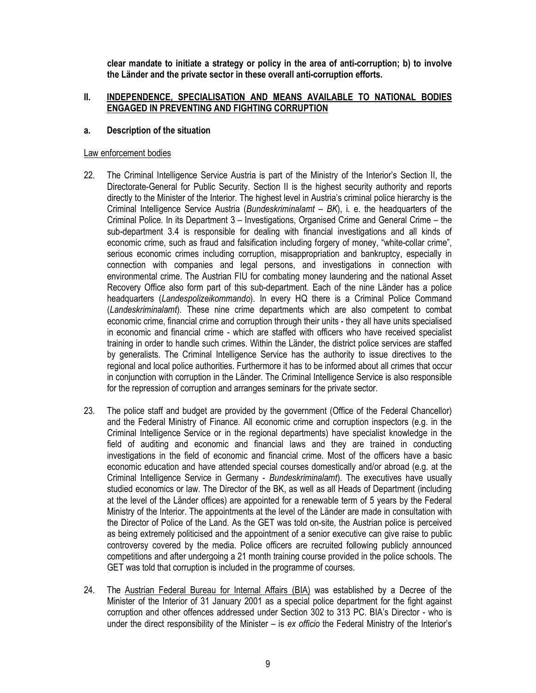clear mandate to initiate a strategy or policy in the area of anti-corruption; b) to involve the Länder and the private sector in these overall anti-corruption efforts.

# II. INDEPENDENCE, SPECIALISATION AND MEANS AVAILABLE TO NATIONAL BODIES ENGAGED IN PREVENTING AND FIGHTING CORRUPTION

### a. Description of the situation

### Law enforcement bodies

- 22. The Criminal Intelligence Service Austria is part of the Ministry of the Interior's Section II, the Directorate-General for Public Security. Section II is the highest security authority and reports directly to the Minister of the Interior. The highest level in Austria's criminal police hierarchy is the Criminal Intelligence Service Austria (Bundeskriminalamt  $- BK$ ), i. e. the headquarters of the Criminal Police. In its Department 3 – Investigations, Organised Crime and General Crime – the sub-department 3.4 is responsible for dealing with financial investigations and all kinds of economic crime, such as fraud and falsification including forgery of money, "white-collar crime", serious economic crimes including corruption, misappropriation and bankruptcy, especially in connection with companies and legal persons, and investigations in connection with environmental crime. The Austrian FIU for combating money laundering and the national Asset Recovery Office also form part of this sub-department. Each of the nine Länder has a police headquarters (Landespolizeikommando). In every HQ there is a Criminal Police Command (Landeskriminalamt). These nine crime departments which are also competent to combat economic crime, financial crime and corruption through their units - they all have units specialised in economic and financial crime - which are staffed with officers who have received specialist training in order to handle such crimes. Within the Länder, the district police services are staffed by generalists. The Criminal Intelligence Service has the authority to issue directives to the regional and local police authorities. Furthermore it has to be informed about all crimes that occur in conjunction with corruption in the Länder. The Criminal Intelligence Service is also responsible for the repression of corruption and arranges seminars for the private sector.
- 23. The police staff and budget are provided by the government (Office of the Federal Chancellor) and the Federal Ministry of Finance. All economic crime and corruption inspectors (e.g. in the Criminal Intelligence Service or in the regional departments) have specialist knowledge in the field of auditing and economic and financial laws and they are trained in conducting investigations in the field of economic and financial crime. Most of the officers have a basic economic education and have attended special courses domestically and/or abroad (e.g. at the Criminal Intelligence Service in Germany - Bundeskriminalamt). The executives have usually studied economics or law. The Director of the BK, as well as all Heads of Department (including at the level of the Länder offices) are appointed for a renewable term of 5 years by the Federal Ministry of the Interior. The appointments at the level of the Länder are made in consultation with the Director of Police of the Land. As the GET was told on-site, the Austrian police is perceived as being extremely politicised and the appointment of a senior executive can give raise to public controversy covered by the media. Police officers are recruited following publicly announced competitions and after undergoing a 21 month training course provided in the police schools. The GET was told that corruption is included in the programme of courses.
- 24. The Austrian Federal Bureau for Internal Affairs (BIA) was established by a Decree of the Minister of the Interior of 31 January 2001 as a special police department for the fight against corruption and other offences addressed under Section 302 to 313 PC. BIA's Director - who is under the direct responsibility of the Minister – is ex officio the Federal Ministry of the Interior's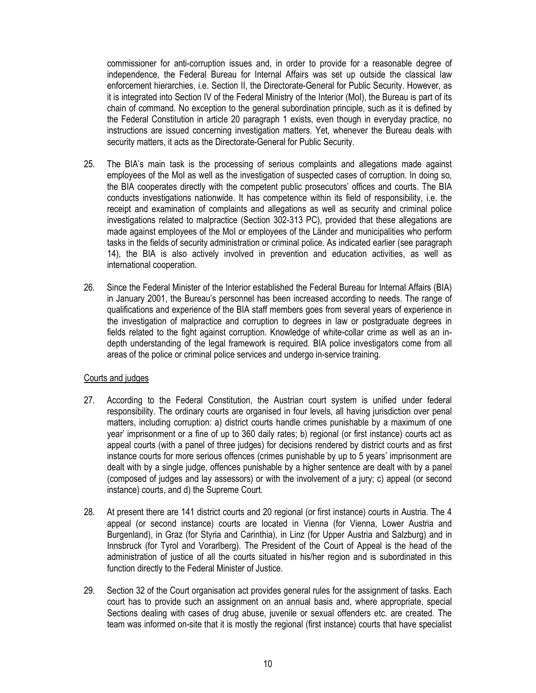commissioner for anti-corruption issues and, in order to provide for a reasonable degree of independence, the Federal Bureau for Internal Affairs was set up outside the classical law enforcement hierarchies, i.e. Section II, the Directorate-General for Public Security. However, as it is integrated into Section IV of the Federal Ministry of the Interior (MoI), the Bureau is part of its chain of command. No exception to the general subordination principle, such as it is defined by the Federal Constitution in article 20 paragraph 1 exists, even though in everyday practice, no instructions are issued concerning investigation matters. Yet, whenever the Bureau deals with security matters, it acts as the Directorate-General for Public Security.

- 25. The BIA's main task is the processing of serious complaints and allegations made against employees of the MoI as well as the investigation of suspected cases of corruption. In doing so, the BIA cooperates directly with the competent public prosecutors' offices and courts. The BIA conducts investigations nationwide. It has competence within its field of responsibility, i.e. the receipt and examination of complaints and allegations as well as security and criminal police investigations related to malpractice (Section 302-313 PC), provided that these allegations are made against employees of the MoI or employees of the Länder and municipalities who perform tasks in the fields of security administration or criminal police. As indicated earlier (see paragraph 14), the BIA is also actively involved in prevention and education activities, as well as international cooperation.
- 26. Since the Federal Minister of the Interior established the Federal Bureau for Internal Affairs (BIA) in January 2001, the Bureau's personnel has been increased according to needs. The range of qualifications and experience of the BIA staff members goes from several years of experience in the investigation of malpractice and corruption to degrees in law or postgraduate degrees in fields related to the fight against corruption. Knowledge of white-collar crime as well as an indepth understanding of the legal framework is required. BIA police investigators come from all areas of the police or criminal police services and undergo in-service training.

### Courts and judges

- 27. According to the Federal Constitution, the Austrian court system is unified under federal responsibility. The ordinary courts are organised in four levels, all having jurisdiction over penal matters, including corruption: a) district courts handle crimes punishable by a maximum of one year' imprisonment or a fine of up to 360 daily rates; b) regional (or first instance) courts act as appeal courts (with a panel of three judges) for decisions rendered by district courts and as first instance courts for more serious offences (crimes punishable by up to 5 years' imprisonment are dealt with by a single judge, offences punishable by a higher sentence are dealt with by a panel (composed of judges and lay assessors) or with the involvement of a jury; c) appeal (or second instance) courts, and d) the Supreme Court.
- 28. At present there are 141 district courts and 20 regional (or first instance) courts in Austria. The 4 appeal (or second instance) courts are located in Vienna (for Vienna, Lower Austria and Burgenland), in Graz (for Styria and Carinthia), in Linz (for Upper Austria and Salzburg) and in Innsbruck (for Tyrol and Vorarlberg). The President of the Court of Appeal is the head of the administration of justice of all the courts situated in his/her region and is subordinated in this function directly to the Federal Minister of Justice.
- 29. Section 32 of the Court organisation act provides general rules for the assignment of tasks. Each court has to provide such an assignment on an annual basis and, where appropriate, special Sections dealing with cases of drug abuse, juvenile or sexual offenders etc. are created. The team was informed on-site that it is mostly the regional (first instance) courts that have specialist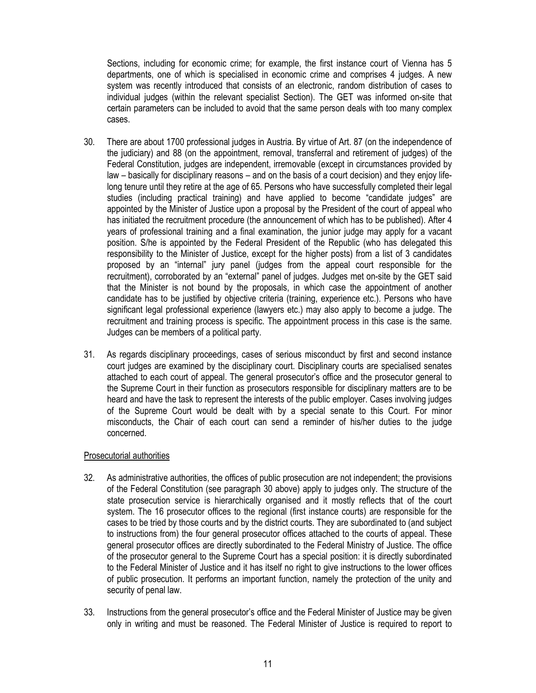Sections, including for economic crime; for example, the first instance court of Vienna has 5 departments, one of which is specialised in economic crime and comprises 4 judges. A new system was recently introduced that consists of an electronic, random distribution of cases to individual judges (within the relevant specialist Section). The GET was informed on-site that certain parameters can be included to avoid that the same person deals with too many complex cases.

- 30. There are about 1700 professional judges in Austria. By virtue of Art. 87 (on the independence of the judiciary) and 88 (on the appointment, removal, transferral and retirement of judges) of the Federal Constitution, judges are independent, irremovable (except in circumstances provided by law – basically for disciplinary reasons – and on the basis of a court decision) and they enjoy lifelong tenure until they retire at the age of 65. Persons who have successfully completed their legal studies (including practical training) and have applied to become "candidate judges" are appointed by the Minister of Justice upon a proposal by the President of the court of appeal who has initiated the recruitment procedure (the announcement of which has to be published). After 4 years of professional training and a final examination, the junior judge may apply for a vacant position. S/he is appointed by the Federal President of the Republic (who has delegated this responsibility to the Minister of Justice, except for the higher posts) from a list of 3 candidates proposed by an "internal" jury panel (judges from the appeal court responsible for the recruitment), corroborated by an "external" panel of judges. Judges met on-site by the GET said that the Minister is not bound by the proposals, in which case the appointment of another candidate has to be justified by objective criteria (training, experience etc.). Persons who have significant legal professional experience (lawyers etc.) may also apply to become a judge. The recruitment and training process is specific. The appointment process in this case is the same. Judges can be members of a political party.
- 31. As regards disciplinary proceedings, cases of serious misconduct by first and second instance court judges are examined by the disciplinary court. Disciplinary courts are specialised senates attached to each court of appeal. The general prosecutor's office and the prosecutor general to the Supreme Court in their function as prosecutors responsible for disciplinary matters are to be heard and have the task to represent the interests of the public employer. Cases involving judges of the Supreme Court would be dealt with by a special senate to this Court. For minor misconducts, the Chair of each court can send a reminder of his/her duties to the judge concerned.

### Prosecutorial authorities

- 32. As administrative authorities, the offices of public prosecution are not independent; the provisions of the Federal Constitution (see paragraph 30 above) apply to judges only. The structure of the state prosecution service is hierarchically organised and it mostly reflects that of the court system. The 16 prosecutor offices to the regional (first instance courts) are responsible for the cases to be tried by those courts and by the district courts. They are subordinated to (and subject to instructions from) the four general prosecutor offices attached to the courts of appeal. These general prosecutor offices are directly subordinated to the Federal Ministry of Justice. The office of the prosecutor general to the Supreme Court has a special position: it is directly subordinated to the Federal Minister of Justice and it has itself no right to give instructions to the lower offices of public prosecution. It performs an important function, namely the protection of the unity and security of penal law.
- 33. Instructions from the general prosecutor's office and the Federal Minister of Justice may be given only in writing and must be reasoned. The Federal Minister of Justice is required to report to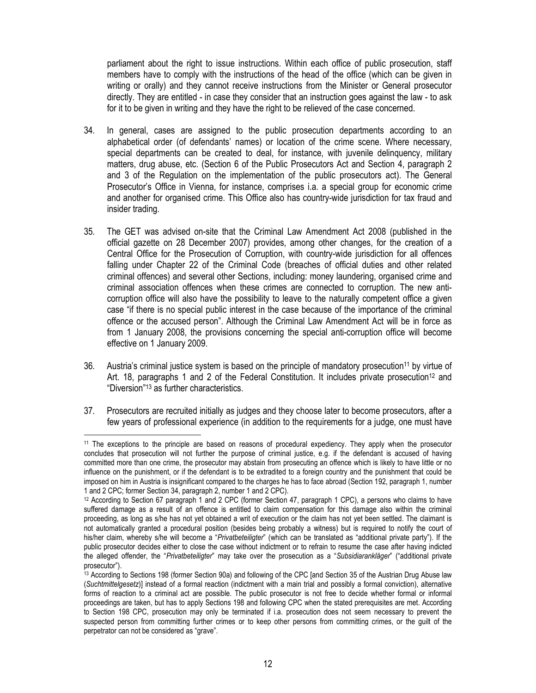parliament about the right to issue instructions. Within each office of public prosecution, staff members have to comply with the instructions of the head of the office (which can be given in writing or orally) and they cannot receive instructions from the Minister or General prosecutor directly. They are entitled - in case they consider that an instruction goes against the law - to ask for it to be given in writing and they have the right to be relieved of the case concerned.

- 34. In general, cases are assigned to the public prosecution departments according to an alphabetical order (of defendants' names) or location of the crime scene. Where necessary, special departments can be created to deal, for instance, with juvenile delinquency, military matters, drug abuse, etc. (Section 6 of the Public Prosecutors Act and Section 4, paragraph 2 and 3 of the Regulation on the implementation of the public prosecutors act). The General Prosecutor's Office in Vienna, for instance, comprises i.a. a special group for economic crime and another for organised crime. This Office also has country-wide jurisdiction for tax fraud and insider trading.
- 35. The GET was advised on-site that the Criminal Law Amendment Act 2008 (published in the official gazette on 28 December 2007) provides, among other changes, for the creation of a Central Office for the Prosecution of Corruption, with country-wide jurisdiction for all offences falling under Chapter 22 of the Criminal Code (breaches of official duties and other related criminal offences) and several other Sections, including: money laundering, organised crime and criminal association offences when these crimes are connected to corruption. The new anticorruption office will also have the possibility to leave to the naturally competent office a given case "if there is no special public interest in the case because of the importance of the criminal offence or the accused person". Although the Criminal Law Amendment Act will be in force as from 1 January 2008, the provisions concerning the special anti-corruption office will become effective on 1 January 2009.
- 36. Austria's criminal justice system is based on the principle of mandatory prosecution<sup>11</sup> by virtue of Art. 18, paragraphs 1 and 2 of the Federal Constitution. It includes private prosecution<sup>12</sup> and "Diversion"13 as further characteristics.
- 37. Prosecutors are recruited initially as judges and they choose later to become prosecutors, after a few years of professional experience (in addition to the requirements for a judge, one must have

 $\overline{a}$ 

<sup>&</sup>lt;sup>11</sup> The exceptions to the principle are based on reasons of procedural expediency. They apply when the prosecutor concludes that prosecution will not further the purpose of criminal justice, e.g. if the defendant is accused of having committed more than one crime, the prosecutor may abstain from prosecuting an offence which is likely to have little or no influence on the punishment, or if the defendant is to be extradited to a foreign country and the punishment that could be imposed on him in Austria is insignificant compared to the charges he has to face abroad (Section 192, paragraph 1, number 1 and 2 CPC; former Section 34, paragraph 2, number 1 and 2 CPC).

<sup>12</sup> According to Section 67 paragraph 1 and 2 CPC (former Section 47, paragraph 1 CPC), a persons who claims to have suffered damage as a result of an offence is entitled to claim compensation for this damage also within the criminal proceeding, as long as s/he has not yet obtained a writ of execution or the claim has not yet been settled. The claimant is not automatically granted a procedural position (besides being probably a witness) but is required to notify the court of his/her claim, whereby s/he will become a "Privatbeteiligter" (which can be translated as "additional private party"). If the public prosecutor decides either to close the case without indictment or to refrain to resume the case after having indicted the alleged offender, the "Privatbeteiligter" may take over the prosecution as a "Subsidiarankläger" ("additional private prosecutor").

<sup>13</sup> According to Sections 198 (former Section 90a) and following of the CPC [and Section 35 of the Austrian Drug Abuse law (Suchtmittelgesetz)] instead of a formal reaction (indictment with a main trial and possibly a formal conviction), alternative forms of reaction to a criminal act are possible. The public prosecutor is not free to decide whether formal or informal proceedings are taken, but has to apply Sections 198 and following CPC when the stated prerequisites are met. According to Section 198 CPC, prosecution may only be terminated if i.a. prosecution does not seem necessary to prevent the suspected person from committing further crimes or to keep other persons from committing crimes, or the guilt of the perpetrator can not be considered as "grave".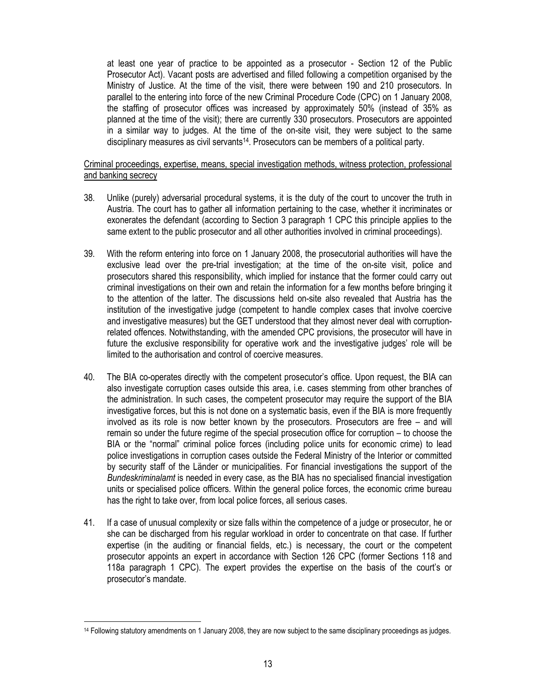at least one year of practice to be appointed as a prosecutor - Section 12 of the Public Prosecutor Act). Vacant posts are advertised and filled following a competition organised by the Ministry of Justice. At the time of the visit, there were between 190 and 210 prosecutors. In parallel to the entering into force of the new Criminal Procedure Code (CPC) on 1 January 2008, the staffing of prosecutor offices was increased by approximately 50% (instead of 35% as planned at the time of the visit); there are currently 330 prosecutors. Prosecutors are appointed in a similar way to judges. At the time of the on-site visit, they were subject to the same disciplinary measures as civil servants<sup>14</sup>. Prosecutors can be members of a political party.

### Criminal proceedings, expertise, means, special investigation methods, witness protection, professional and banking secrecy

- 38. Unlike (purely) adversarial procedural systems, it is the duty of the court to uncover the truth in Austria. The court has to gather all information pertaining to the case, whether it incriminates or exonerates the defendant (according to Section 3 paragraph 1 CPC this principle applies to the same extent to the public prosecutor and all other authorities involved in criminal proceedings).
- 39. With the reform entering into force on 1 January 2008, the prosecutorial authorities will have the exclusive lead over the pre-trial investigation; at the time of the on-site visit, police and prosecutors shared this responsibility, which implied for instance that the former could carry out criminal investigations on their own and retain the information for a few months before bringing it to the attention of the latter. The discussions held on-site also revealed that Austria has the institution of the investigative judge (competent to handle complex cases that involve coercive and investigative measures) but the GET understood that they almost never deal with corruptionrelated offences. Notwithstanding, with the amended CPC provisions, the prosecutor will have in future the exclusive responsibility for operative work and the investigative judges' role will be limited to the authorisation and control of coercive measures.
- 40. The BIA co-operates directly with the competent prosecutor's office. Upon request, the BIA can also investigate corruption cases outside this area, i.e. cases stemming from other branches of the administration. In such cases, the competent prosecutor may require the support of the BIA investigative forces, but this is not done on a systematic basis, even if the BIA is more frequently involved as its role is now better known by the prosecutors. Prosecutors are free – and will remain so under the future regime of the special prosecution office for corruption – to choose the BIA or the "normal" criminal police forces (including police units for economic crime) to lead police investigations in corruption cases outside the Federal Ministry of the Interior or committed by security staff of the Länder or municipalities. For financial investigations the support of the Bundeskriminalamt is needed in every case, as the BIA has no specialised financial investigation units or specialised police officers. Within the general police forces, the economic crime bureau has the right to take over, from local police forces, all serious cases.
- 41. If a case of unusual complexity or size falls within the competence of a judge or prosecutor, he or she can be discharged from his regular workload in order to concentrate on that case. If further expertise (in the auditing or financial fields, etc.) is necessary, the court or the competent prosecutor appoints an expert in accordance with Section 126 CPC (former Sections 118 and 118a paragraph 1 CPC). The expert provides the expertise on the basis of the court's or prosecutor's mandate.

 $\overline{a}$ 

<sup>14</sup> Following statutory amendments on 1 January 2008, they are now subject to the same disciplinary proceedings as judges.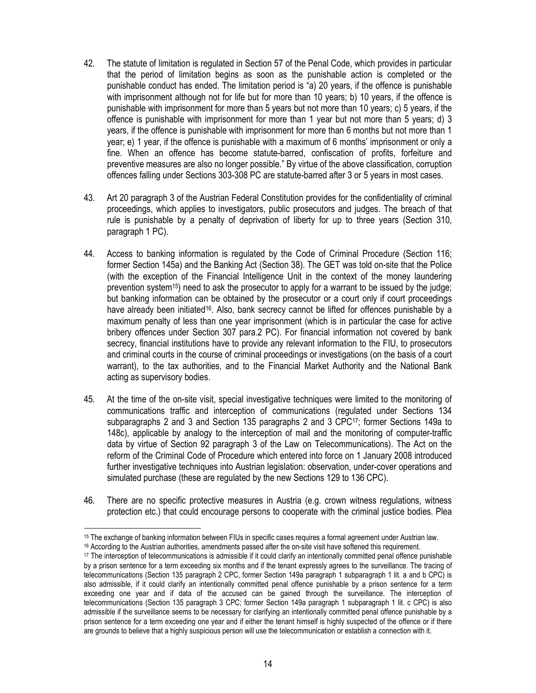- 42. The statute of limitation is regulated in Section 57 of the Penal Code, which provides in particular that the period of limitation begins as soon as the punishable action is completed or the punishable conduct has ended. The limitation period is "a) 20 years, if the offence is punishable with imprisonment although not for life but for more than 10 years; b) 10 years, if the offence is punishable with imprisonment for more than 5 years but not more than 10 years; c) 5 years, if the offence is punishable with imprisonment for more than 1 year but not more than 5 years; d) 3 years, if the offence is punishable with imprisonment for more than 6 months but not more than 1 year; e) 1 year, if the offence is punishable with a maximum of 6 months' imprisonment or only a fine. When an offence has become statute-barred, confiscation of profits, forfeiture and preventive measures are also no longer possible." By virtue of the above classification, corruption offences falling under Sections 303-308 PC are statute-barred after 3 or 5 years in most cases.
- 43. Art 20 paragraph 3 of the Austrian Federal Constitution provides for the confidentiality of criminal proceedings, which applies to investigators, public prosecutors and judges. The breach of that rule is punishable by a penalty of deprivation of liberty for up to three years (Section 310, paragraph 1 PC).
- 44. Access to banking information is regulated by the Code of Criminal Procedure (Section 116; former Section 145a) and the Banking Act (Section 38). The GET was told on-site that the Police (with the exception of the Financial Intelligence Unit in the context of the money laundering prevention system<sup>15</sup>) need to ask the prosecutor to apply for a warrant to be issued by the judge; but banking information can be obtained by the prosecutor or a court only if court proceedings have already been initiated<sup>16</sup>. Also, bank secrecy cannot be lifted for offences punishable by a maximum penalty of less than one year imprisonment (which is in particular the case for active bribery offences under Section 307 para.2 PC). For financial information not covered by bank secrecy, financial institutions have to provide any relevant information to the FIU, to prosecutors and criminal courts in the course of criminal proceedings or investigations (on the basis of a court warrant), to the tax authorities, and to the Financial Market Authority and the National Bank acting as supervisory bodies.
- 45. At the time of the on-site visit, special investigative techniques were limited to the monitoring of communications traffic and interception of communications (regulated under Sections 134 subparagraphs 2 and 3 and Section 135 paragraphs 2 and 3 CPC17; former Sections 149a to 148c), applicable by analogy to the interception of mail and the monitoring of computer-traffic data by virtue of Section 92 paragraph 3 of the Law on Telecommunications). The Act on the reform of the Criminal Code of Procedure which entered into force on 1 January 2008 introduced further investigative techniques into Austrian legislation: observation, under-cover operations and simulated purchase (these are regulated by the new Sections 129 to 136 CPC).
- 46. There are no specific protective measures in Austria (e.g. crown witness regulations, witness protection etc.) that could encourage persons to cooperate with the criminal justice bodies. Plea

 $\overline{a}$ <sup>15</sup> The exchange of banking information between FIUs in specific cases requires a formal agreement under Austrian law.

<sup>16</sup> According to the Austrian authorities, amendments passed after the on-site visit have softened this requirement.

<sup>17</sup> The interception of telecommunications is admissible if it could clarify an intentionally committed penal offence punishable by a prison sentence for a term exceeding six months and if the tenant expressly agrees to the surveillance. The tracing of telecommunications (Section 135 paragraph 2 CPC, former Section 149a paragraph 1 subparagraph 1 lit. a and b CPC) is also admissible, if it could clarify an intentionally committed penal offence punishable by a prison sentence for a term exceeding one year and if data of the accused can be gained through the surveillance. The interception of telecommunications (Section 135 paragraph 3 CPC; former Section 149a paragraph 1 subparagraph 1 lit. c CPC) is also admissible if the surveillance seems to be necessary for clarifying an intentionally committed penal offence punishable by a prison sentence for a term exceeding one year and if either the tenant himself is highly suspected of the offence or if there are grounds to believe that a highly suspicious person will use the telecommunication or establish a connection with it.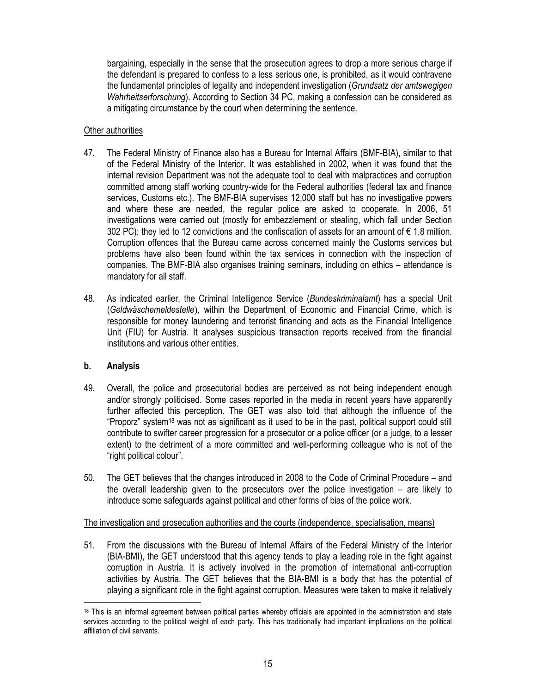bargaining, especially in the sense that the prosecution agrees to drop a more serious charge if the defendant is prepared to confess to a less serious one, is prohibited, as it would contravene the fundamental principles of legality and independent investigation (Grundsatz der amtswegigen Wahrheitserforschung). According to Section 34 PC, making a confession can be considered as a mitigating circumstance by the court when determining the sentence.

### Other authorities

- 47. The Federal Ministry of Finance also has a Bureau for Internal Affairs (BMF-BIA), similar to that of the Federal Ministry of the Interior. It was established in 2002, when it was found that the internal revision Department was not the adequate tool to deal with malpractices and corruption committed among staff working country-wide for the Federal authorities (federal tax and finance services, Customs etc.). The BMF-BIA supervises 12,000 staff but has no investigative powers and where these are needed, the regular police are asked to cooperate. In 2006, 51 investigations were carried out (mostly for embezzlement or stealing, which fall under Section 302 PC); they led to 12 convictions and the confiscation of assets for an amount of  $\epsilon$  1,8 million. Corruption offences that the Bureau came across concerned mainly the Customs services but problems have also been found within the tax services in connection with the inspection of companies. The BMF-BIA also organises training seminars, including on ethics – attendance is mandatory for all staff.
- 48. As indicated earlier, the Criminal Intelligence Service (Bundeskriminalamt) has a special Unit (Geldwäschemeldestelle), within the Department of Economic and Financial Crime, which is responsible for money laundering and terrorist financing and acts as the Financial Intelligence Unit (FIU) for Austria. It analyses suspicious transaction reports received from the financial institutions and various other entities.

# b. Analysis

- 49. Overall, the police and prosecutorial bodies are perceived as not being independent enough and/or strongly politicised. Some cases reported in the media in recent years have apparently further affected this perception. The GET was also told that although the influence of the "Proporz" system18 was not as significant as it used to be in the past, political support could still contribute to swifter career progression for a prosecutor or a police officer (or a judge, to a lesser extent) to the detriment of a more committed and well-performing colleague who is not of the "right political colour".
- 50. The GET believes that the changes introduced in 2008 to the Code of Criminal Procedure and the overall leadership given to the prosecutors over the police investigation – are likely to introduce some safeguards against political and other forms of bias of the police work.

### The investigation and prosecution authorities and the courts (independence, specialisation, means)

51. From the discussions with the Bureau of Internal Affairs of the Federal Ministry of the Interior (BIA-BMI), the GET understood that this agency tends to play a leading role in the fight against corruption in Austria. It is actively involved in the promotion of international anti-corruption activities by Austria. The GET believes that the BIA-BMI is a body that has the potential of playing a significant role in the fight against corruption. Measures were taken to make it relatively

 $\overline{a}$ <sup>18</sup> This is an informal agreement between political parties whereby officials are appointed in the administration and state services according to the political weight of each party. This has traditionally had important implications on the political affiliation of civil servants.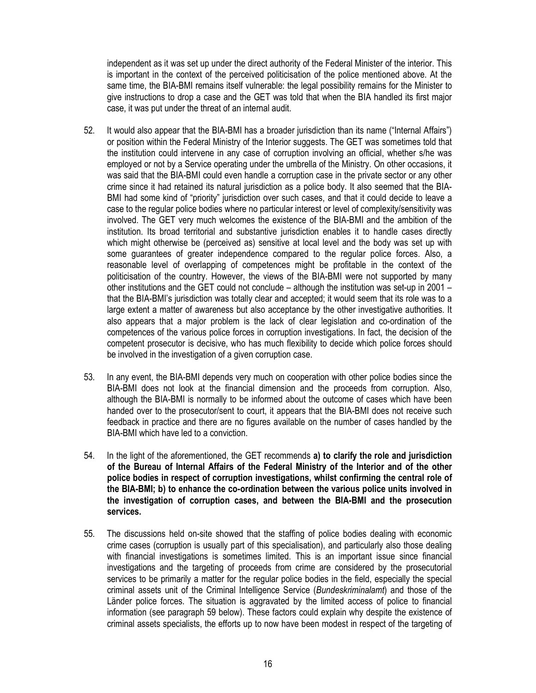independent as it was set up under the direct authority of the Federal Minister of the interior. This is important in the context of the perceived politicisation of the police mentioned above. At the same time, the BIA-BMI remains itself vulnerable: the legal possibility remains for the Minister to give instructions to drop a case and the GET was told that when the BIA handled its first major case, it was put under the threat of an internal audit.

- 52. It would also appear that the BIA-BMI has a broader jurisdiction than its name ("Internal Affairs") or position within the Federal Ministry of the Interior suggests. The GET was sometimes told that the institution could intervene in any case of corruption involving an official, whether s/he was employed or not by a Service operating under the umbrella of the Ministry. On other occasions, it was said that the BIA-BMI could even handle a corruption case in the private sector or any other crime since it had retained its natural jurisdiction as a police body. It also seemed that the BIA-BMI had some kind of "priority" jurisdiction over such cases, and that it could decide to leave a case to the regular police bodies where no particular interest or level of complexity/sensitivity was involved. The GET very much welcomes the existence of the BIA-BMI and the ambition of the institution. Its broad territorial and substantive jurisdiction enables it to handle cases directly which might otherwise be (perceived as) sensitive at local level and the body was set up with some guarantees of greater independence compared to the regular police forces. Also, a reasonable level of overlapping of competences might be profitable in the context of the politicisation of the country. However, the views of the BIA-BMI were not supported by many other institutions and the GET could not conclude – although the institution was set-up in 2001 – that the BIA-BMI's jurisdiction was totally clear and accepted; it would seem that its role was to a large extent a matter of awareness but also acceptance by the other investigative authorities. It also appears that a major problem is the lack of clear legislation and co-ordination of the competences of the various police forces in corruption investigations. In fact, the decision of the competent prosecutor is decisive, who has much flexibility to decide which police forces should be involved in the investigation of a given corruption case.
- 53. In any event, the BIA-BMI depends very much on cooperation with other police bodies since the BIA-BMI does not look at the financial dimension and the proceeds from corruption. Also, although the BIA-BMI is normally to be informed about the outcome of cases which have been handed over to the prosecutor/sent to court, it appears that the BIA-BMI does not receive such feedback in practice and there are no figures available on the number of cases handled by the BIA-BMI which have led to a conviction.
- 54. In the light of the aforementioned, the GET recommends a) to clarify the role and jurisdiction of the Bureau of Internal Affairs of the Federal Ministry of the Interior and of the other police bodies in respect of corruption investigations, whilst confirming the central role of the BIA-BMI; b) to enhance the co-ordination between the various police units involved in the investigation of corruption cases, and between the BIA-BMI and the prosecution services.
- 55. The discussions held on-site showed that the staffing of police bodies dealing with economic crime cases (corruption is usually part of this specialisation), and particularly also those dealing with financial investigations is sometimes limited. This is an important issue since financial investigations and the targeting of proceeds from crime are considered by the prosecutorial services to be primarily a matter for the regular police bodies in the field, especially the special criminal assets unit of the Criminal Intelligence Service (Bundeskriminalamt) and those of the Länder police forces. The situation is aggravated by the limited access of police to financial information (see paragraph 59 below). These factors could explain why despite the existence of criminal assets specialists, the efforts up to now have been modest in respect of the targeting of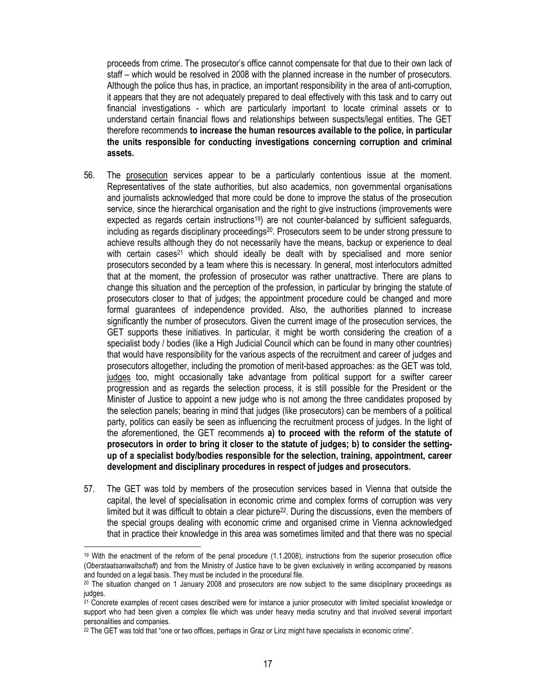proceeds from crime. The prosecutor's office cannot compensate for that due to their own lack of staff – which would be resolved in 2008 with the planned increase in the number of prosecutors. Although the police thus has, in practice, an important responsibility in the area of anti-corruption, it appears that they are not adequately prepared to deal effectively with this task and to carry out financial investigations - which are particularly important to locate criminal assets or to understand certain financial flows and relationships between suspects/legal entities. The GET therefore recommends to increase the human resources available to the police, in particular the units responsible for conducting investigations concerning corruption and criminal assets.

- 56. The prosecution services appear to be a particularly contentious issue at the moment. Representatives of the state authorities, but also academics, non governmental organisations and journalists acknowledged that more could be done to improve the status of the prosecution service, since the hierarchical organisation and the right to give instructions (improvements were expected as regards certain instructions<sup>19</sup>) are not counter-balanced by sufficient safeguards, including as regards disciplinary proceedings<sup>20</sup>. Prosecutors seem to be under strong pressure to achieve results although they do not necessarily have the means, backup or experience to deal with certain cases<sup>21</sup> which should ideally be dealt with by specialised and more senior prosecutors seconded by a team where this is necessary. In general, most interlocutors admitted that at the moment, the profession of prosecutor was rather unattractive. There are plans to change this situation and the perception of the profession, in particular by bringing the statute of prosecutors closer to that of judges; the appointment procedure could be changed and more formal guarantees of independence provided. Also, the authorities planned to increase significantly the number of prosecutors. Given the current image of the prosecution services, the GET supports these initiatives. In particular, it might be worth considering the creation of a specialist body / bodies (like a High Judicial Council which can be found in many other countries) that would have responsibility for the various aspects of the recruitment and career of judges and prosecutors altogether, including the promotion of merit-based approaches: as the GET was told, judges too, might occasionally take advantage from political support for a swifter career progression and as regards the selection process, it is still possible for the President or the Minister of Justice to appoint a new judge who is not among the three candidates proposed by the selection panels; bearing in mind that judges (like prosecutors) can be members of a political party, politics can easily be seen as influencing the recruitment process of judges. In the light of the aforementioned, the GET recommends a) to proceed with the reform of the statute of prosecutors in order to bring it closer to the statute of judges; b) to consider the settingup of a specialist body/bodies responsible for the selection, training, appointment, career development and disciplinary procedures in respect of judges and prosecutors.
- 57. The GET was told by members of the prosecution services based in Vienna that outside the capital, the level of specialisation in economic crime and complex forms of corruption was very limited but it was difficult to obtain a clear picture<sup>22</sup>. During the discussions, even the members of the special groups dealing with economic crime and organised crime in Vienna acknowledged that in practice their knowledge in this area was sometimes limited and that there was no special

 $\overline{a}$ 

<sup>19</sup> With the enactment of the reform of the penal procedure (1.1.2008), instructions from the superior prosecution office (Oberstaatsanwaltschaft) and from the Ministry of Justice have to be given exclusively in writing accompanied by reasons and founded on a legal basis. They must be included in the procedural file.

 $20$  The situation changed on 1 January 2008 and prosecutors are now subject to the same disciplinary proceedings as judges.

<sup>21</sup> Concrete examples of recent cases described were for instance a junior prosecutor with limited specialist knowledge or support who had been given a complex file which was under heavy media scrutiny and that involved several important personalities and companies.

<sup>&</sup>lt;sup>22</sup> The GET was told that "one or two offices, perhaps in Graz or Linz might have specialists in economic crime".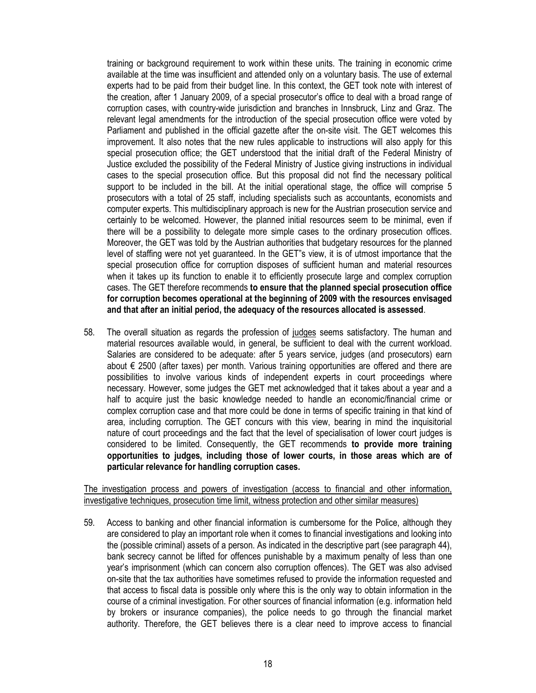training or background requirement to work within these units. The training in economic crime available at the time was insufficient and attended only on a voluntary basis. The use of external experts had to be paid from their budget line. In this context, the GET took note with interest of the creation, after 1 January 2009, of a special prosecutor's office to deal with a broad range of corruption cases, with country-wide jurisdiction and branches in Innsbruck, Linz and Graz. The relevant legal amendments for the introduction of the special prosecution office were voted by Parliament and published in the official gazette after the on-site visit. The GET welcomes this improvement. It also notes that the new rules applicable to instructions will also apply for this special prosecution office; the GET understood that the initial draft of the Federal Ministry of Justice excluded the possibility of the Federal Ministry of Justice giving instructions in individual cases to the special prosecution office. But this proposal did not find the necessary political support to be included in the bill. At the initial operational stage, the office will comprise 5 prosecutors with a total of 25 staff, including specialists such as accountants, economists and computer experts. This multidisciplinary approach is new for the Austrian prosecution service and certainly to be welcomed. However, the planned initial resources seem to be minimal, even if there will be a possibility to delegate more simple cases to the ordinary prosecution offices. Moreover, the GET was told by the Austrian authorities that budgetary resources for the planned level of staffing were not yet guaranteed. In the GET"s view, it is of utmost importance that the special prosecution office for corruption disposes of sufficient human and material resources when it takes up its function to enable it to efficiently prosecute large and complex corruption cases. The GET therefore recommends to ensure that the planned special prosecution office for corruption becomes operational at the beginning of 2009 with the resources envisaged and that after an initial period, the adequacy of the resources allocated is assessed.

58. The overall situation as regards the profession of judges seems satisfactory. The human and material resources available would, in general, be sufficient to deal with the current workload. Salaries are considered to be adequate: after 5 years service, judges (and prosecutors) earn about € 2500 (after taxes) per month. Various training opportunities are offered and there are possibilities to involve various kinds of independent experts in court proceedings where necessary. However, some judges the GET met acknowledged that it takes about a year and a half to acquire just the basic knowledge needed to handle an economic/financial crime or complex corruption case and that more could be done in terms of specific training in that kind of area, including corruption. The GET concurs with this view, bearing in mind the inquisitorial nature of court proceedings and the fact that the level of specialisation of lower court judges is considered to be limited. Consequently, the GET recommends to provide more training opportunities to judges, including those of lower courts, in those areas which are of particular relevance for handling corruption cases.

The investigation process and powers of investigation (access to financial and other information, investigative techniques, prosecution time limit, witness protection and other similar measures)

59. Access to banking and other financial information is cumbersome for the Police, although they are considered to play an important role when it comes to financial investigations and looking into the (possible criminal) assets of a person. As indicated in the descriptive part (see paragraph 44), bank secrecy cannot be lifted for offences punishable by a maximum penalty of less than one year's imprisonment (which can concern also corruption offences). The GET was also advised on-site that the tax authorities have sometimes refused to provide the information requested and that access to fiscal data is possible only where this is the only way to obtain information in the course of a criminal investigation. For other sources of financial information (e.g. information held by brokers or insurance companies), the police needs to go through the financial market authority. Therefore, the GET believes there is a clear need to improve access to financial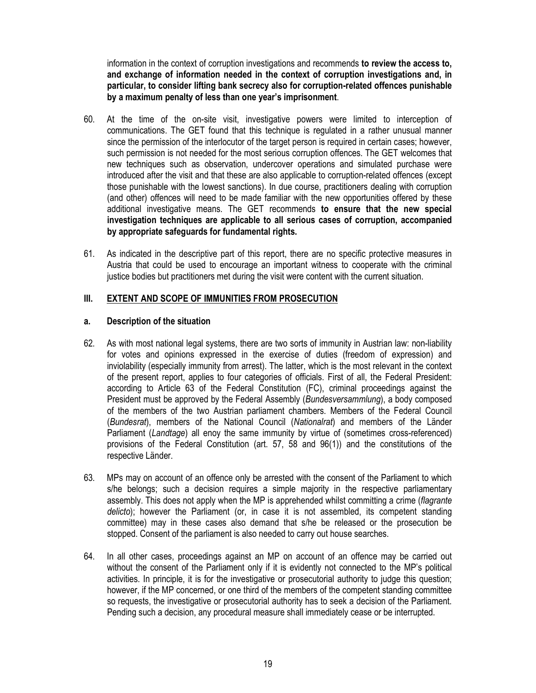information in the context of corruption investigations and recommends to review the access to, and exchange of information needed in the context of corruption investigations and, in particular, to consider lifting bank secrecy also for corruption-related offences punishable by a maximum penalty of less than one year's imprisonment.

- 60. At the time of the on-site visit, investigative powers were limited to interception of communications. The GET found that this technique is regulated in a rather unusual manner since the permission of the interlocutor of the target person is required in certain cases; however, such permission is not needed for the most serious corruption offences. The GET welcomes that new techniques such as observation, undercover operations and simulated purchase were introduced after the visit and that these are also applicable to corruption-related offences (except those punishable with the lowest sanctions). In due course, practitioners dealing with corruption (and other) offences will need to be made familiar with the new opportunities offered by these additional investigative means. The GET recommends to ensure that the new special investigation techniques are applicable to all serious cases of corruption, accompanied by appropriate safeguards for fundamental rights.
- 61. As indicated in the descriptive part of this report, there are no specific protective measures in Austria that could be used to encourage an important witness to cooperate with the criminal justice bodies but practitioners met during the visit were content with the current situation.

# III. EXTENT AND SCOPE OF IMMUNITIES FROM PROSECUTION

# a. Description of the situation

- 62. As with most national legal systems, there are two sorts of immunity in Austrian law: non-liability for votes and opinions expressed in the exercise of duties (freedom of expression) and inviolability (especially immunity from arrest). The latter, which is the most relevant in the context of the present report, applies to four categories of officials. First of all, the Federal President: according to Article 63 of the Federal Constitution (FC), criminal proceedings against the President must be approved by the Federal Assembly (Bundesversammlung), a body composed of the members of the two Austrian parliament chambers. Members of the Federal Council (Bundesrat), members of the National Council (Nationalrat) and members of the Länder Parliament (Landtage) all enoy the same immunity by virtue of (sometimes cross-referenced) provisions of the Federal Constitution (art. 57, 58 and 96(1)) and the constitutions of the respective Länder.
- 63. MPs may on account of an offence only be arrested with the consent of the Parliament to which s/he belongs; such a decision requires a simple majority in the respective parliamentary assembly. This does not apply when the MP is apprehended whilst committing a crime (flagrante delicto); however the Parliament (or, in case it is not assembled, its competent standing committee) may in these cases also demand that s/he be released or the prosecution be stopped. Consent of the parliament is also needed to carry out house searches.
- 64. In all other cases, proceedings against an MP on account of an offence may be carried out without the consent of the Parliament only if it is evidently not connected to the MP's political activities. In principle, it is for the investigative or prosecutorial authority to judge this question; however, if the MP concerned, or one third of the members of the competent standing committee so requests, the investigative or prosecutorial authority has to seek a decision of the Parliament. Pending such a decision, any procedural measure shall immediately cease or be interrupted.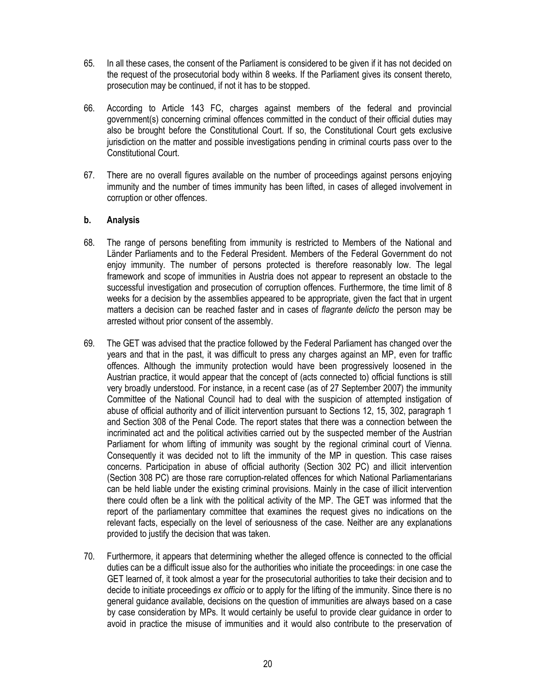- 65. In all these cases, the consent of the Parliament is considered to be given if it has not decided on the request of the prosecutorial body within 8 weeks. If the Parliament gives its consent thereto, prosecution may be continued, if not it has to be stopped.
- 66. According to Article 143 FC, charges against members of the federal and provincial government(s) concerning criminal offences committed in the conduct of their official duties may also be brought before the Constitutional Court. If so, the Constitutional Court gets exclusive jurisdiction on the matter and possible investigations pending in criminal courts pass over to the Constitutional Court.
- 67. There are no overall figures available on the number of proceedings against persons enjoying immunity and the number of times immunity has been lifted, in cases of alleged involvement in corruption or other offences.

# b. Analysis

- 68. The range of persons benefiting from immunity is restricted to Members of the National and Länder Parliaments and to the Federal President. Members of the Federal Government do not enjoy immunity. The number of persons protected is therefore reasonably low. The legal framework and scope of immunities in Austria does not appear to represent an obstacle to the successful investigation and prosecution of corruption offences. Furthermore, the time limit of 8 weeks for a decision by the assemblies appeared to be appropriate, given the fact that in urgent matters a decision can be reached faster and in cases of *flagrante delicto* the person may be arrested without prior consent of the assembly.
- 69. The GET was advised that the practice followed by the Federal Parliament has changed over the years and that in the past, it was difficult to press any charges against an MP, even for traffic offences. Although the immunity protection would have been progressively loosened in the Austrian practice, it would appear that the concept of (acts connected to) official functions is still very broadly understood. For instance, in a recent case (as of 27 September 2007) the immunity Committee of the National Council had to deal with the suspicion of attempted instigation of abuse of official authority and of illicit intervention pursuant to Sections 12, 15, 302, paragraph 1 and Section 308 of the Penal Code. The report states that there was a connection between the incriminated act and the political activities carried out by the suspected member of the Austrian Parliament for whom lifting of immunity was sought by the regional criminal court of Vienna. Consequently it was decided not to lift the immunity of the MP in question. This case raises concerns. Participation in abuse of official authority (Section 302 PC) and illicit intervention (Section 308 PC) are those rare corruption-related offences for which National Parliamentarians can be held liable under the existing criminal provisions. Mainly in the case of illicit intervention there could often be a link with the political activity of the MP. The GET was informed that the report of the parliamentary committee that examines the request gives no indications on the relevant facts, especially on the level of seriousness of the case. Neither are any explanations provided to justify the decision that was taken.
- 70. Furthermore, it appears that determining whether the alleged offence is connected to the official duties can be a difficult issue also for the authorities who initiate the proceedings: in one case the GET learned of, it took almost a year for the prosecutorial authorities to take their decision and to decide to initiate proceedings ex officio or to apply for the lifting of the immunity. Since there is no general guidance available, decisions on the question of immunities are always based on a case by case consideration by MPs. It would certainly be useful to provide clear guidance in order to avoid in practice the misuse of immunities and it would also contribute to the preservation of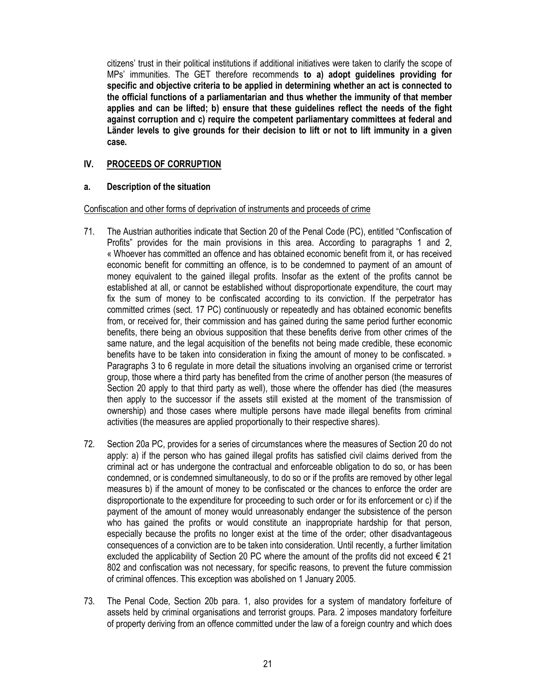citizens' trust in their political institutions if additional initiatives were taken to clarify the scope of MPs' immunities. The GET therefore recommends to a) adopt guidelines providing for specific and objective criteria to be applied in determining whether an act is connected to the official functions of a parliamentarian and thus whether the immunity of that member applies and can be lifted; b) ensure that these guidelines reflect the needs of the fight against corruption and c) require the competent parliamentary committees at federal and Länder levels to give grounds for their decision to lift or not to lift immunity in a given case.

# IV. PROCEEDS OF CORRUPTION

### a. Description of the situation

### Confiscation and other forms of deprivation of instruments and proceeds of crime

- 71. The Austrian authorities indicate that Section 20 of the Penal Code (PC), entitled "Confiscation of Profits" provides for the main provisions in this area. According to paragraphs 1 and 2, « Whoever has committed an offence and has obtained economic benefit from it, or has received economic benefit for committing an offence, is to be condemned to payment of an amount of money equivalent to the gained illegal profits. Insofar as the extent of the profits cannot be established at all, or cannot be established without disproportionate expenditure, the court may fix the sum of money to be confiscated according to its conviction. If the perpetrator has committed crimes (sect. 17 PC) continuously or repeatedly and has obtained economic benefits from, or received for, their commission and has gained during the same period further economic benefits, there being an obvious supposition that these benefits derive from other crimes of the same nature, and the legal acquisition of the benefits not being made credible, these economic benefits have to be taken into consideration in fixing the amount of money to be confiscated. » Paragraphs 3 to 6 regulate in more detail the situations involving an organised crime or terrorist group, those where a third party has benefited from the crime of another person (the measures of Section 20 apply to that third party as well), those where the offender has died (the measures then apply to the successor if the assets still existed at the moment of the transmission of ownership) and those cases where multiple persons have made illegal benefits from criminal activities (the measures are applied proportionally to their respective shares).
- 72. Section 20a PC, provides for a series of circumstances where the measures of Section 20 do not apply: a) if the person who has gained illegal profits has satisfied civil claims derived from the criminal act or has undergone the contractual and enforceable obligation to do so, or has been condemned, or is condemned simultaneously, to do so or if the profits are removed by other legal measures b) if the amount of money to be confiscated or the chances to enforce the order are disproportionate to the expenditure for proceeding to such order or for its enforcement or c) if the payment of the amount of money would unreasonably endanger the subsistence of the person who has gained the profits or would constitute an inappropriate hardship for that person, especially because the profits no longer exist at the time of the order; other disadvantageous consequences of a conviction are to be taken into consideration. Until recently, a further limitation excluded the applicability of Section 20 PC where the amount of the profits did not exceed  $\in$  21 802 and confiscation was not necessary, for specific reasons, to prevent the future commission of criminal offences. This exception was abolished on 1 January 2005.
- 73. The Penal Code, Section 20b para. 1, also provides for a system of mandatory forfeiture of assets held by criminal organisations and terrorist groups. Para. 2 imposes mandatory forfeiture of property deriving from an offence committed under the law of a foreign country and which does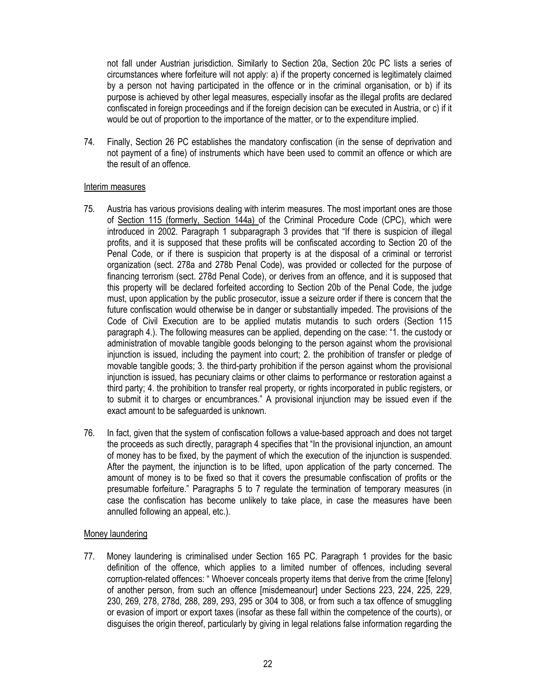not fall under Austrian jurisdiction. Similarly to Section 20a, Section 20c PC lists a series of circumstances where forfeiture will not apply: a) if the property concerned is legitimately claimed by a person not having participated in the offence or in the criminal organisation, or b) if its purpose is achieved by other legal measures, especially insofar as the illegal profits are declared confiscated in foreign proceedings and if the foreign decision can be executed in Austria, or c) if it would be out of proportion to the importance of the matter, or to the expenditure implied.

74. Finally, Section 26 PC establishes the mandatory confiscation (in the sense of deprivation and not payment of a fine) of instruments which have been used to commit an offence or which are the result of an offence.

### Interim measures

- 75. Austria has various provisions dealing with interim measures. The most important ones are those of Section 115 (formerly, Section 144a) of the Criminal Procedure Code (CPC), which were introduced in 2002. Paragraph 1 subparagraph 3 provides that "If there is suspicion of illegal profits, and it is supposed that these profits will be confiscated according to Section 20 of the Penal Code, or if there is suspicion that property is at the disposal of a criminal or terrorist organization (sect. 278a and 278b Penal Code), was provided or collected for the purpose of financing terrorism (sect. 278d Penal Code), or derives from an offence, and it is supposed that this property will be declared forfeited according to Section 20b of the Penal Code, the judge must, upon application by the public prosecutor, issue a seizure order if there is concern that the future confiscation would otherwise be in danger or substantially impeded. The provisions of the Code of Civil Execution are to be applied mutatis mutandis to such orders (Section 115 paragraph 4.). The following measures can be applied, depending on the case: "1. the custody or administration of movable tangible goods belonging to the person against whom the provisional injunction is issued, including the payment into court; 2. the prohibition of transfer or pledge of movable tangible goods; 3. the third-party prohibition if the person against whom the provisional injunction is issued, has pecuniary claims or other claims to performance or restoration against a third party; 4. the prohibition to transfer real property, or rights incorporated in public registers, or to submit it to charges or encumbrances." A provisional injunction may be issued even if the exact amount to be safeguarded is unknown.
- 76. In fact, given that the system of confiscation follows a value-based approach and does not target the proceeds as such directly, paragraph 4 specifies that "In the provisional injunction, an amount of money has to be fixed, by the payment of which the execution of the injunction is suspended. After the payment, the injunction is to be lifted, upon application of the party concerned. The amount of money is to be fixed so that it covers the presumable confiscation of profits or the presumable forfeiture." Paragraphs 5 to 7 regulate the termination of temporary measures (in case the confiscation has become unlikely to take place, in case the measures have been annulled following an appeal, etc.).

# Money laundering

77. Money laundering is criminalised under Section 165 PC. Paragraph 1 provides for the basic definition of the offence, which applies to a limited number of offences, including several corruption-related offences: " Whoever conceals property items that derive from the crime [felony] of another person, from such an offence [misdemeanour] under Sections 223, 224, 225, 229, 230, 269, 278, 278d, 288, 289, 293, 295 or 304 to 308, or from such a tax offence of smuggling or evasion of import or export taxes (insofar as these fall within the competence of the courts), or disguises the origin thereof, particularly by giving in legal relations false information regarding the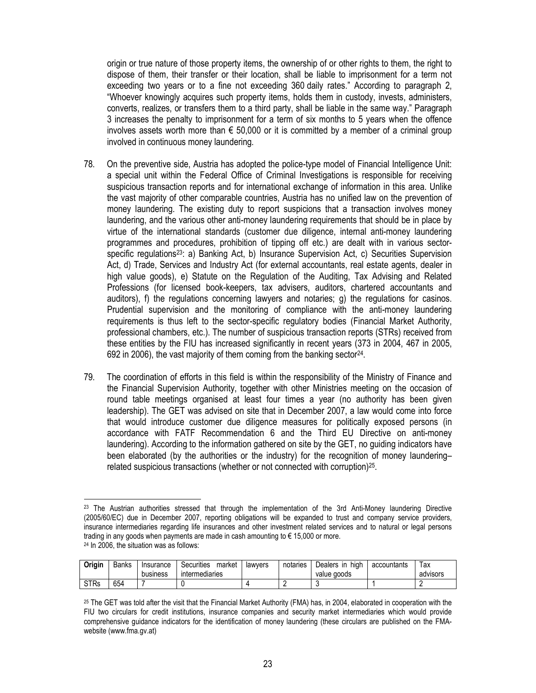origin or true nature of those property items, the ownership of or other rights to them, the right to dispose of them, their transfer or their location, shall be liable to imprisonment for a term not exceeding two years or to a fine not exceeding 360 daily rates." According to paragraph 2, "Whoever knowingly acquires such property items, holds them in custody, invests, administers, converts, realizes, or transfers them to a third party, shall be liable in the same way." Paragraph 3 increases the penalty to imprisonment for a term of six months to 5 years when the offence involves assets worth more than  $\epsilon$  50,000 or it is committed by a member of a criminal group involved in continuous money laundering.

- 78. On the preventive side, Austria has adopted the police-type model of Financial Intelligence Unit: a special unit within the Federal Office of Criminal Investigations is responsible for receiving suspicious transaction reports and for international exchange of information in this area. Unlike the vast majority of other comparable countries, Austria has no unified law on the prevention of money laundering. The existing duty to report suspicions that a transaction involves money laundering, and the various other anti-money laundering requirements that should be in place by virtue of the international standards (customer due diligence, internal anti-money laundering programmes and procedures, prohibition of tipping off etc.) are dealt with in various sectorspecific regulations<sup>23</sup>: a) Banking Act, b) Insurance Supervision Act, c) Securities Supervision Act, d) Trade, Services and Industry Act (for external accountants, real estate agents, dealer in high value goods), e) Statute on the Regulation of the Auditing, Tax Advising and Related Professions (for licensed book-keepers, tax advisers, auditors, chartered accountants and auditors), f) the regulations concerning lawyers and notaries; g) the regulations for casinos. Prudential supervision and the monitoring of compliance with the anti-money laundering requirements is thus left to the sector-specific regulatory bodies (Financial Market Authority, professional chambers, etc.). The number of suspicious transaction reports (STRs) received from these entities by the FIU has increased significantly in recent years (373 in 2004, 467 in 2005, 692 in 2006), the vast majority of them coming from the banking sector<sup>24</sup>.
- 79. The coordination of efforts in this field is within the responsibility of the Ministry of Finance and the Financial Supervision Authority, together with other Ministries meeting on the occasion of round table meetings organised at least four times a year (no authority has been given leadership). The GET was advised on site that in December 2007, a law would come into force that would introduce customer due diligence measures for politically exposed persons (in accordance with FATF Recommendation 6 and the Third EU Directive on anti-money laundering). According to the information gathered on site by the GET, no guiding indicators have been elaborated (by the authorities or the industry) for the recognition of money laundering– related suspicious transactions (whether or not connected with corruption)<sup>25</sup>.

 $\overline{a}$ <sup>23</sup> The Austrian authorities stressed that through the implementation of the 3rd Anti-Money laundering Directive (2005/60/EC) due in December 2007, reporting obligations will be expanded to trust and company service providers, insurance intermediaries regarding life insurances and other investment related services and to natural or legal persons trading in any goods when payments are made in cash amounting to € 15,000 or more. <sup>24</sup> In 2006, the situation was as follows:

| Origin      | Banks | Insurance | market<br>Securities  | lawvers | notaries | high<br>Dealers in | accountants | lax      |
|-------------|-------|-----------|-----------------------|---------|----------|--------------------|-------------|----------|
|             |       | business  | <b>intermediaries</b> |         |          | value goods        |             | advisors |
| <b>STRs</b> | 654   |           |                       |         |          |                    |             |          |

 $25$  The GET was told after the visit that the Financial Market Authority (FMA) has, in 2004, elaborated in cooperation with the FIU two circulars for credit institutions, insurance companies and security market intermediaries which would provide comprehensive guidance indicators for the identification of money laundering (these circulars are published on the FMAwebsite (www.fma.gv.at)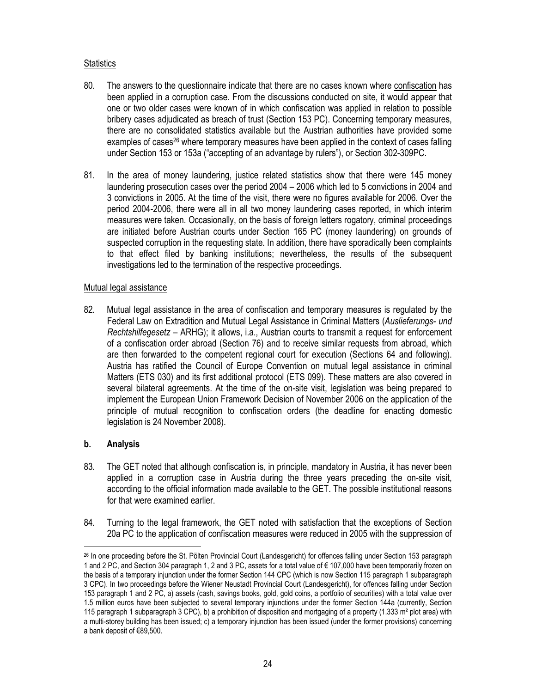### **Statistics**

- 80. The answers to the questionnaire indicate that there are no cases known where confiscation has been applied in a corruption case. From the discussions conducted on site, it would appear that one or two older cases were known of in which confiscation was applied in relation to possible bribery cases adjudicated as breach of trust (Section 153 PC). Concerning temporary measures, there are no consolidated statistics available but the Austrian authorities have provided some examples of cases<sup>26</sup> where temporary measures have been applied in the context of cases falling under Section 153 or 153a ("accepting of an advantage by rulers"), or Section 302-309PC.
- 81. In the area of money laundering, justice related statistics show that there were 145 money laundering prosecution cases over the period 2004 – 2006 which led to 5 convictions in 2004 and 3 convictions in 2005. At the time of the visit, there were no figures available for 2006. Over the period 2004-2006, there were all in all two money laundering cases reported, in which interim measures were taken. Occasionally, on the basis of foreign letters rogatory, criminal proceedings are initiated before Austrian courts under Section 165 PC (money laundering) on grounds of suspected corruption in the requesting state. In addition, there have sporadically been complaints to that effect filed by banking institutions; nevertheless, the results of the subsequent investigations led to the termination of the respective proceedings.

### Mutual legal assistance

82. Mutual legal assistance in the area of confiscation and temporary measures is regulated by the Federal Law on Extradition and Mutual Legal Assistance in Criminal Matters (Auslieferungs- und Rechtshilfegesetz – ARHG); it allows, i.a., Austrian courts to transmit a request for enforcement of a confiscation order abroad (Section 76) and to receive similar requests from abroad, which are then forwarded to the competent regional court for execution (Sections 64 and following). Austria has ratified the Council of Europe Convention on mutual legal assistance in criminal Matters (ETS 030) and its first additional protocol (ETS 099). These matters are also covered in several bilateral agreements. At the time of the on-site visit, legislation was being prepared to implement the European Union Framework Decision of November 2006 on the application of the principle of mutual recognition to confiscation orders (the deadline for enacting domestic legislation is 24 November 2008).

# b. Analysis

- 83. The GET noted that although confiscation is, in principle, mandatory in Austria, it has never been applied in a corruption case in Austria during the three years preceding the on-site visit, according to the official information made available to the GET. The possible institutional reasons for that were examined earlier.
- 84. Turning to the legal framework, the GET noted with satisfaction that the exceptions of Section 20a PC to the application of confiscation measures were reduced in 2005 with the suppression of

 $\overline{a}$ <sup>26</sup> In one proceeding before the St. Pölten Provincial Court (Landesgericht) for offences falling under Section 153 paragraph 1 and 2 PC, and Section 304 paragraph 1, 2 and 3 PC, assets for a total value of € 107,000 have been temporarily frozen on the basis of a temporary injunction under the former Section 144 CPC (which is now Section 115 paragraph 1 subparagraph 3 CPC). In two proceedings before the Wiener Neustadt Provincial Court (Landesgericht), for offences falling under Section 153 paragraph 1 and 2 PC, a) assets (cash, savings books, gold, gold coins, a portfolio of securities) with a total value over 1.5 million euros have been subjected to several temporary injunctions under the former Section 144a (currently, Section 115 paragraph 1 subparagraph 3 CPC), b) a prohibition of disposition and mortgaging of a property (1.333 m<sup>2</sup> plot area) with a multi-storey building has been issued; c) a temporary injunction has been issued (under the former provisions) concerning a bank deposit of €89,500.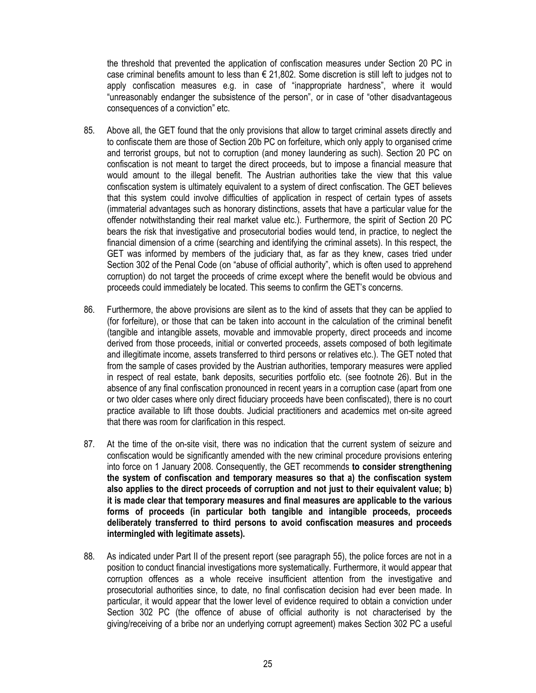the threshold that prevented the application of confiscation measures under Section 20 PC in case criminal benefits amount to less than  $\epsilon$  21,802. Some discretion is still left to judges not to apply confiscation measures e.g. in case of "inappropriate hardness", where it would "unreasonably endanger the subsistence of the person", or in case of "other disadvantageous consequences of a conviction" etc.

- 85. Above all, the GET found that the only provisions that allow to target criminal assets directly and to confiscate them are those of Section 20b PC on forfeiture, which only apply to organised crime and terrorist groups, but not to corruption (and money laundering as such). Section 20 PC on confiscation is not meant to target the direct proceeds, but to impose a financial measure that would amount to the illegal benefit. The Austrian authorities take the view that this value confiscation system is ultimately equivalent to a system of direct confiscation. The GET believes that this system could involve difficulties of application in respect of certain types of assets (immaterial advantages such as honorary distinctions, assets that have a particular value for the offender notwithstanding their real market value etc.). Furthermore, the spirit of Section 20 PC bears the risk that investigative and prosecutorial bodies would tend, in practice, to neglect the financial dimension of a crime (searching and identifying the criminal assets). In this respect, the GET was informed by members of the judiciary that, as far as they knew, cases tried under Section 302 of the Penal Code (on "abuse of official authority", which is often used to apprehend corruption) do not target the proceeds of crime except where the benefit would be obvious and proceeds could immediately be located. This seems to confirm the GET's concerns.
- 86. Furthermore, the above provisions are silent as to the kind of assets that they can be applied to (for forfeiture), or those that can be taken into account in the calculation of the criminal benefit (tangible and intangible assets, movable and immovable property, direct proceeds and income derived from those proceeds, initial or converted proceeds, assets composed of both legitimate and illegitimate income, assets transferred to third persons or relatives etc.). The GET noted that from the sample of cases provided by the Austrian authorities, temporary measures were applied in respect of real estate, bank deposits, securities portfolio etc. (see footnote 26). But in the absence of any final confiscation pronounced in recent years in a corruption case (apart from one or two older cases where only direct fiduciary proceeds have been confiscated), there is no court practice available to lift those doubts. Judicial practitioners and academics met on-site agreed that there was room for clarification in this respect.
- 87. At the time of the on-site visit, there was no indication that the current system of seizure and confiscation would be significantly amended with the new criminal procedure provisions entering into force on 1 January 2008. Consequently, the GET recommends to consider strengthening the system of confiscation and temporary measures so that a) the confiscation system also applies to the direct proceeds of corruption and not just to their equivalent value; b) it is made clear that temporary measures and final measures are applicable to the various forms of proceeds (in particular both tangible and intangible proceeds, proceeds deliberately transferred to third persons to avoid confiscation measures and proceeds intermingled with legitimate assets).
- 88. As indicated under Part II of the present report (see paragraph 55), the police forces are not in a position to conduct financial investigations more systematically. Furthermore, it would appear that corruption offences as a whole receive insufficient attention from the investigative and prosecutorial authorities since, to date, no final confiscation decision had ever been made. In particular, it would appear that the lower level of evidence required to obtain a conviction under Section 302 PC (the offence of abuse of official authority is not characterised by the giving/receiving of a bribe nor an underlying corrupt agreement) makes Section 302 PC a useful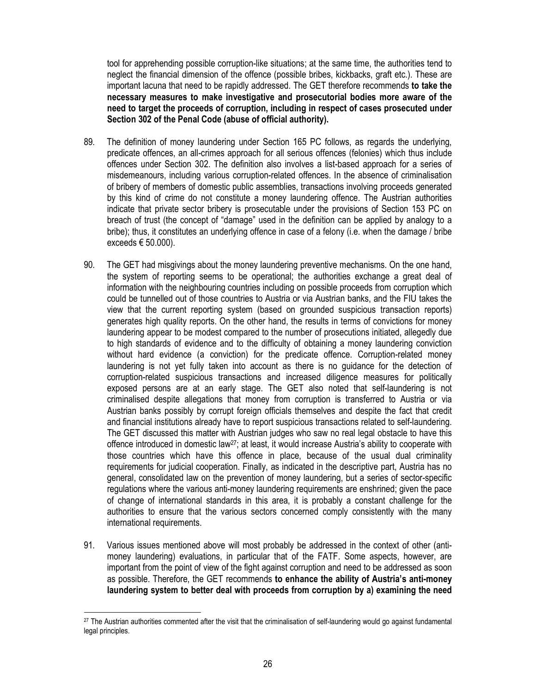tool for apprehending possible corruption-like situations; at the same time, the authorities tend to neglect the financial dimension of the offence (possible bribes, kickbacks, graft etc.). These are important lacuna that need to be rapidly addressed. The GET therefore recommends to take the necessary measures to make investigative and prosecutorial bodies more aware of the need to target the proceeds of corruption, including in respect of cases prosecuted under Section 302 of the Penal Code (abuse of official authority).

- 89. The definition of money laundering under Section 165 PC follows, as regards the underlying, predicate offences, an all-crimes approach for all serious offences (felonies) which thus include offences under Section 302. The definition also involves a list-based approach for a series of misdemeanours, including various corruption-related offences. In the absence of criminalisation of bribery of members of domestic public assemblies, transactions involving proceeds generated by this kind of crime do not constitute a money laundering offence. The Austrian authorities indicate that private sector bribery is prosecutable under the provisions of Section 153 PC on breach of trust (the concept of "damage" used in the definition can be applied by analogy to a bribe); thus, it constitutes an underlying offence in case of a felony (i.e. when the damage / bribe exceeds  $\epsilon$  50.000).
- 90. The GET had misgivings about the money laundering preventive mechanisms. On the one hand, the system of reporting seems to be operational; the authorities exchange a great deal of information with the neighbouring countries including on possible proceeds from corruption which could be tunnelled out of those countries to Austria or via Austrian banks, and the FIU takes the view that the current reporting system (based on grounded suspicious transaction reports) generates high quality reports. On the other hand, the results in terms of convictions for money laundering appear to be modest compared to the number of prosecutions initiated, allegedly due to high standards of evidence and to the difficulty of obtaining a money laundering conviction without hard evidence (a conviction) for the predicate offence. Corruption-related money laundering is not yet fully taken into account as there is no guidance for the detection of corruption-related suspicious transactions and increased diligence measures for politically exposed persons are at an early stage. The GET also noted that self-laundering is not criminalised despite allegations that money from corruption is transferred to Austria or via Austrian banks possibly by corrupt foreign officials themselves and despite the fact that credit and financial institutions already have to report suspicious transactions related to self-laundering. The GET discussed this matter with Austrian judges who saw no real legal obstacle to have this offence introduced in domestic law<sup>27</sup>; at least, it would increase Austria's ability to cooperate with those countries which have this offence in place, because of the usual dual criminality requirements for judicial cooperation. Finally, as indicated in the descriptive part, Austria has no general, consolidated law on the prevention of money laundering, but a series of sector-specific regulations where the various anti-money laundering requirements are enshrined; given the pace of change of international standards in this area, it is probably a constant challenge for the authorities to ensure that the various sectors concerned comply consistently with the many international requirements.
- 91. Various issues mentioned above will most probably be addressed in the context of other (antimoney laundering) evaluations, in particular that of the FATF. Some aspects, however, are important from the point of view of the fight against corruption and need to be addressed as soon as possible. Therefore, the GET recommends to enhance the ability of Austria's anti-money laundering system to better deal with proceeds from corruption by a) examining the need

 $\overline{a}$  $27$  The Austrian authorities commented after the visit that the criminalisation of self-laundering would go against fundamental legal principles.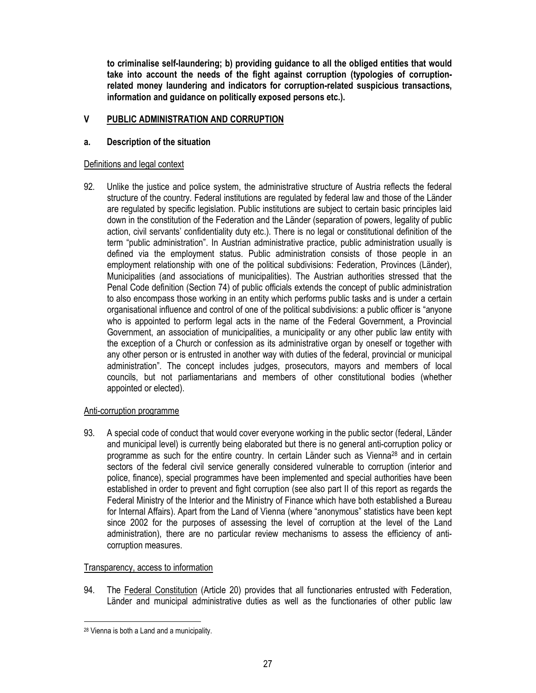to criminalise self-laundering; b) providing guidance to all the obliged entities that would take into account the needs of the fight against corruption (typologies of corruptionrelated money laundering and indicators for corruption-related suspicious transactions, information and guidance on politically exposed persons etc.).

# V PUBLIC ADMINISTRATION AND CORRUPTION

# a. Description of the situation

# Definitions and legal context

92. Unlike the justice and police system, the administrative structure of Austria reflects the federal structure of the country. Federal institutions are regulated by federal law and those of the Länder are regulated by specific legislation. Public institutions are subject to certain basic principles laid down in the constitution of the Federation and the Länder (separation of powers, legality of public action, civil servants' confidentiality duty etc.). There is no legal or constitutional definition of the term "public administration". In Austrian administrative practice, public administration usually is defined via the employment status. Public administration consists of those people in an employment relationship with one of the political subdivisions: Federation, Provinces (Länder), Municipalities (and associations of municipalities). The Austrian authorities stressed that the Penal Code definition (Section 74) of public officials extends the concept of public administration to also encompass those working in an entity which performs public tasks and is under a certain organisational influence and control of one of the political subdivisions: a public officer is "anyone who is appointed to perform legal acts in the name of the Federal Government, a Provincial Government, an association of municipalities, a municipality or any other public law entity with the exception of a Church or confession as its administrative organ by oneself or together with any other person or is entrusted in another way with duties of the federal, provincial or municipal administration". The concept includes judges, prosecutors, mayors and members of local councils, but not parliamentarians and members of other constitutional bodies (whether appointed or elected).

# Anti-corruption programme

93. A special code of conduct that would cover everyone working in the public sector (federal, Länder and municipal level) is currently being elaborated but there is no general anti-corruption policy or programme as such for the entire country. In certain Länder such as Vienna28 and in certain sectors of the federal civil service generally considered vulnerable to corruption (interior and police, finance), special programmes have been implemented and special authorities have been established in order to prevent and fight corruption (see also part II of this report as regards the Federal Ministry of the Interior and the Ministry of Finance which have both established a Bureau for Internal Affairs). Apart from the Land of Vienna (where "anonymous" statistics have been kept since 2002 for the purposes of assessing the level of corruption at the level of the Land administration), there are no particular review mechanisms to assess the efficiency of anticorruption measures.

# Transparency, access to information

94. The Federal Constitution (Article 20) provides that all functionaries entrusted with Federation, Länder and municipal administrative duties as well as the functionaries of other public law

 $\ddot{\phantom{a}}$ 28 Vienna is both a Land and a municipality.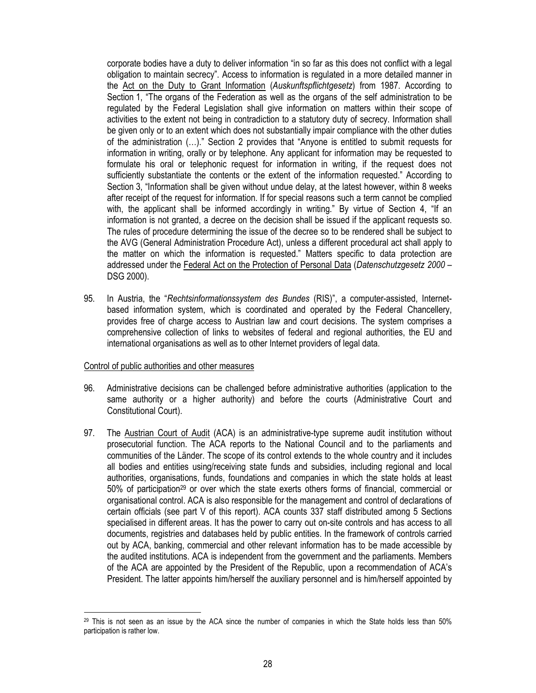corporate bodies have a duty to deliver information "in so far as this does not conflict with a legal obligation to maintain secrecy". Access to information is regulated in a more detailed manner in the Act on the Duty to Grant Information (Auskunftspflichtgesetz) from 1987. According to Section 1, "The organs of the Federation as well as the organs of the self administration to be regulated by the Federal Legislation shall give information on matters within their scope of activities to the extent not being in contradiction to a statutory duty of secrecy. Information shall be given only or to an extent which does not substantially impair compliance with the other duties of the administration (…)." Section 2 provides that "Anyone is entitled to submit requests for information in writing, orally or by telephone. Any applicant for information may be requested to formulate his oral or telephonic request for information in writing, if the request does not sufficiently substantiate the contents or the extent of the information requested." According to Section 3, "Information shall be given without undue delay, at the latest however, within 8 weeks after receipt of the request for information. If for special reasons such a term cannot be complied with, the applicant shall be informed accordingly in writing." By virtue of Section 4, "If an information is not granted, a decree on the decision shall be issued if the applicant requests so. The rules of procedure determining the issue of the decree so to be rendered shall be subject to the AVG (General Administration Procedure Act), unless a different procedural act shall apply to the matter on which the information is requested." Matters specific to data protection are addressed under the Federal Act on the Protection of Personal Data (Datenschutzgesetz 2000 – DSG 2000).

95. In Austria, the "Rechtsinformationssystem des Bundes (RIS)", a computer-assisted, Internetbased information system, which is coordinated and operated by the Federal Chancellery, provides free of charge access to Austrian law and court decisions. The system comprises a comprehensive collection of links to websites of federal and regional authorities, the EU and international organisations as well as to other Internet providers of legal data.

### Control of public authorities and other measures

- 96. Administrative decisions can be challenged before administrative authorities (application to the same authority or a higher authority) and before the courts (Administrative Court and Constitutional Court).
- 97. The Austrian Court of Audit (ACA) is an administrative-type supreme audit institution without prosecutorial function. The ACA reports to the National Council and to the parliaments and communities of the Länder. The scope of its control extends to the whole country and it includes all bodies and entities using/receiving state funds and subsidies, including regional and local authorities, organisations, funds, foundations and companies in which the state holds at least 50% of participation<sup>29</sup> or over which the state exerts others forms of financial, commercial or organisational control. ACA is also responsible for the management and control of declarations of certain officials (see part V of this report). ACA counts 337 staff distributed among 5 Sections specialised in different areas. It has the power to carry out on-site controls and has access to all documents, registries and databases held by public entities. In the framework of controls carried out by ACA, banking, commercial and other relevant information has to be made accessible by the audited institutions. ACA is independent from the government and the parliaments. Members of the ACA are appointed by the President of the Republic, upon a recommendation of ACA's President. The latter appoints him/herself the auxiliary personnel and is him/herself appointed by

 $\overline{a}$  $^{29}$  This is not seen as an issue by the ACA since the number of companies in which the State holds less than 50% participation is rather low.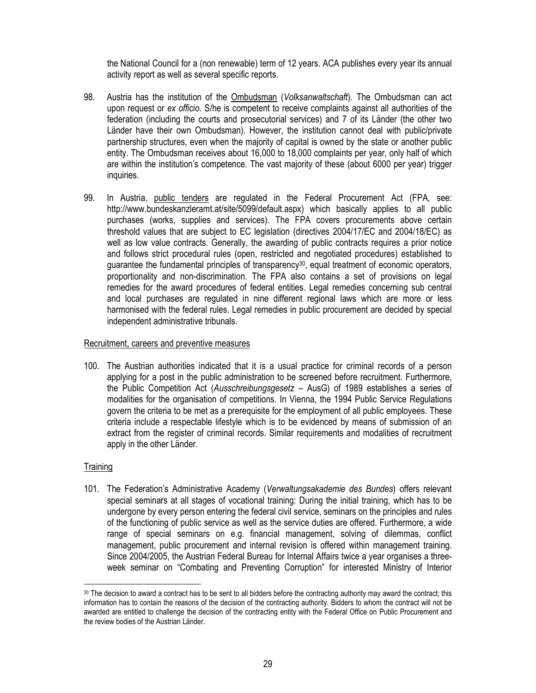the National Council for a (non renewable) term of 12 years. ACA publishes every year its annual activity report as well as several specific reports.

- 98. Austria has the institution of the Ombudsman (Volksanwaltschaft). The Ombudsman can act upon request or ex officio. S/he is competent to receive complaints against all authorities of the federation (including the courts and prosecutorial services) and 7 of its Länder (the other two Länder have their own Ombudsman). However, the institution cannot deal with public/private partnership structures, even when the majority of capital is owned by the state or another public entity. The Ombudsman receives about 16,000 to 18,000 complaints per year, only half of which are within the institution's competence. The vast majority of these (about 6000 per year) trigger inquiries.
- 99. In Austria, public tenders are regulated in the Federal Procurement Act (FPA, see: http://www.bundeskanzleramt.at/site/5099/default.aspx) which basically applies to all public purchases (works, supplies and services). The FPA covers procurements above certain threshold values that are subject to EC legislation (directives 2004/17/EC and 2004/18/EC) as well as low value contracts. Generally, the awarding of public contracts requires a prior notice and follows strict procedural rules (open, restricted and negotiated procedures) established to guarantee the fundamental principles of transparency<sup>30</sup>, equal treatment of economic operators, proportionality and non-discrimination. The FPA also contains a set of provisions on legal remedies for the award procedures of federal entities. Legal remedies concerning sub central and local purchases are regulated in nine different regional laws which are more or less harmonised with the federal rules. Legal remedies in public procurement are decided by special independent administrative tribunals.

### Recruitment, careers and preventive measures

100. The Austrian authorities indicated that it is a usual practice for criminal records of a person applying for a post in the public administration to be screened before recruitment. Furthermore, the Public Competition Act (Ausschreibungsgesetz – AusG) of 1989 establishes a series of modalities for the organisation of competitions. In Vienna, the 1994 Public Service Regulations govern the criteria to be met as a prerequisite for the employment of all public employees. These criteria include a respectable lifestyle which is to be evidenced by means of submission of an extract from the register of criminal records. Similar requirements and modalities of recruitment apply in the other Länder.

### **Training**

 $\ddot{\phantom{a}}$ 

101. The Federation's Administrative Academy (Verwaltungsakademie des Bundes) offers relevant special seminars at all stages of vocational training: During the initial training, which has to be undergone by every person entering the federal civil service, seminars on the principles and rules of the functioning of public service as well as the service duties are offered. Furthermore, a wide range of special seminars on e.g. financial management, solving of dilemmas, conflict management, public procurement and internal revision is offered within management training. Since 2004/2005, the Austrian Federal Bureau for Internal Affairs twice a year organises a threeweek seminar on "Combating and Preventing Corruption" for interested Ministry of Interior

<sup>30</sup> The decision to award a contract has to be sent to all bidders before the contracting authority may award the contract; this information has to contain the reasons of the decision of the contracting authority. Bidders to whom the contract will not be awarded are entitled to challenge the decision of the contracting entity with the Federal Office on Public Procurement and the review bodies of the Austrian Länder.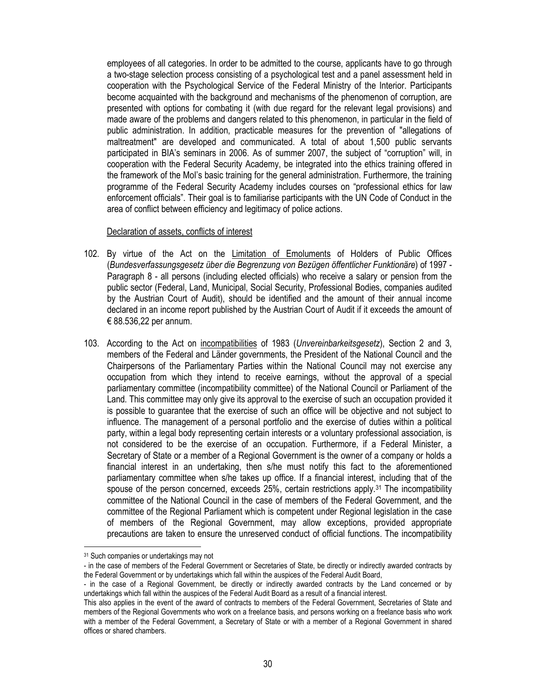employees of all categories. In order to be admitted to the course, applicants have to go through a two-stage selection process consisting of a psychological test and a panel assessment held in cooperation with the Psychological Service of the Federal Ministry of the Interior. Participants become acquainted with the background and mechanisms of the phenomenon of corruption, are presented with options for combating it (with due regard for the relevant legal provisions) and made aware of the problems and dangers related to this phenomenon, in particular in the field of public administration. In addition, practicable measures for the prevention of "allegations of maltreatment" are developed and communicated. A total of about 1,500 public servants participated in BIA's seminars in 2006. As of summer 2007, the subject of "corruption" will, in cooperation with the Federal Security Academy, be integrated into the ethics training offered in the framework of the MoI's basic training for the general administration. Furthermore, the training programme of the Federal Security Academy includes courses on "professional ethics for law enforcement officials". Their goal is to familiarise participants with the UN Code of Conduct in the area of conflict between efficiency and legitimacy of police actions.

#### Declaration of assets, conflicts of interest

- 102. By virtue of the Act on the Limitation of Emoluments of Holders of Public Offices (Bundesverfassungsgesetz über die Begrenzung von Bezügen öffentlicher Funktionäre) of 1997 - Paragraph 8 - all persons (including elected officials) who receive a salary or pension from the public sector (Federal, Land, Municipal, Social Security, Professional Bodies, companies audited by the Austrian Court of Audit), should be identified and the amount of their annual income declared in an income report published by the Austrian Court of Audit if it exceeds the amount of € 88.536,22 per annum.
- 103. According to the Act on incompatibilities of 1983 (Unvereinbarkeitsgesetz), Section 2 and 3, members of the Federal and Länder governments, the President of the National Council and the Chairpersons of the Parliamentary Parties within the National Council may not exercise any occupation from which they intend to receive earnings, without the approval of a special parliamentary committee (incompatibility committee) of the National Council or Parliament of the Land. This committee may only give its approval to the exercise of such an occupation provided it is possible to guarantee that the exercise of such an office will be objective and not subject to influence. The management of a personal portfolio and the exercise of duties within a political party, within a legal body representing certain interests or a voluntary professional association, is not considered to be the exercise of an occupation. Furthermore, if a Federal Minister, a Secretary of State or a member of a Regional Government is the owner of a company or holds a financial interest in an undertaking, then s/he must notify this fact to the aforementioned parliamentary committee when s/he takes up office. If a financial interest, including that of the spouse of the person concerned, exceeds  $25\%$ , certain restrictions apply.<sup>31</sup> The incompatibility committee of the National Council in the case of members of the Federal Government, and the committee of the Regional Parliament which is competent under Regional legislation in the case of members of the Regional Government, may allow exceptions, provided appropriate precautions are taken to ensure the unreserved conduct of official functions. The incompatibility

 $\overline{a}$ 

<sup>&</sup>lt;sup>31</sup> Such companies or undertakings may not

<sup>-</sup> in the case of members of the Federal Government or Secretaries of State, be directly or indirectly awarded contracts by the Federal Government or by undertakings which fall within the auspices of the Federal Audit Board,

<sup>-</sup> in the case of a Regional Government, be directly or indirectly awarded contracts by the Land concerned or by undertakings which fall within the auspices of the Federal Audit Board as a result of a financial interest.

This also applies in the event of the award of contracts to members of the Federal Government, Secretaries of State and members of the Regional Governments who work on a freelance basis, and persons working on a freelance basis who work with a member of the Federal Government, a Secretary of State or with a member of a Regional Government in shared offices or shared chambers.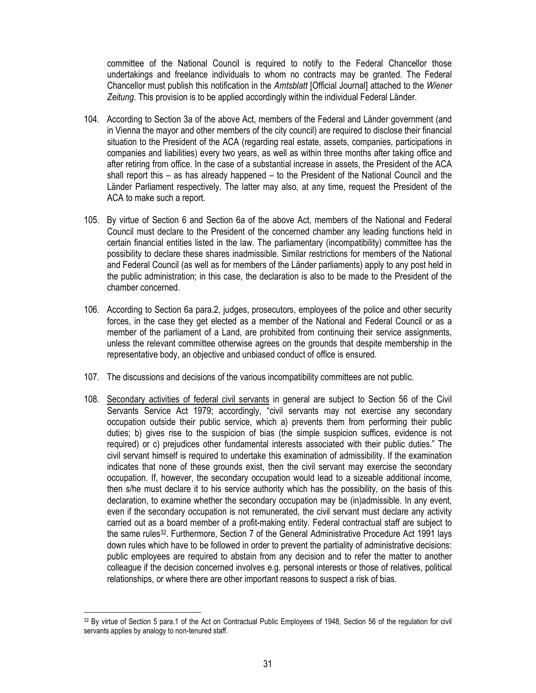committee of the National Council is required to notify to the Federal Chancellor those undertakings and freelance individuals to whom no contracts may be granted. The Federal Chancellor must publish this notification in the Amtsblatt [Official Journal] attached to the Wiener Zeitung. This provision is to be applied accordingly within the individual Federal Länder.

- 104. According to Section 3a of the above Act, members of the Federal and Länder government (and in Vienna the mayor and other members of the city council) are required to disclose their financial situation to the President of the ACA (regarding real estate, assets, companies, participations in companies and liabilities) every two years, as well as within three months after taking office and after retiring from office. In the case of a substantial increase in assets, the President of the ACA shall report this – as has already happened – to the President of the National Council and the Länder Parliament respectively. The latter may also, at any time, request the President of the ACA to make such a report.
- 105. By virtue of Section 6 and Section 6a of the above Act, members of the National and Federal Council must declare to the President of the concerned chamber any leading functions held in certain financial entities listed in the law. The parliamentary (incompatibility) committee has the possibility to declare these shares inadmissible. Similar restrictions for members of the National and Federal Council (as well as for members of the Länder parliaments) apply to any post held in the public administration; in this case, the declaration is also to be made to the President of the chamber concerned.
- 106. According to Section 6a para.2, judges, prosecutors, employees of the police and other security forces, in the case they get elected as a member of the National and Federal Council or as a member of the parliament of a Land, are prohibited from continuing their service assignments, unless the relevant committee otherwise agrees on the grounds that despite membership in the representative body, an objective and unbiased conduct of office is ensured.
- 107. The discussions and decisions of the various incompatibility committees are not public.
- 108. Secondary activities of federal civil servants in general are subject to Section 56 of the Civil Servants Service Act 1979; accordingly, "civil servants may not exercise any secondary occupation outside their public service, which a) prevents them from performing their public duties; b) gives rise to the suspicion of bias (the simple suspicion suffices, evidence is not required) or c) prejudices other fundamental interests associated with their public duties." The civil servant himself is required to undertake this examination of admissibility. If the examination indicates that none of these grounds exist, then the civil servant may exercise the secondary occupation. If, however, the secondary occupation would lead to a sizeable additional income, then s/he must declare it to his service authority which has the possibility, on the basis of this declaration, to examine whether the secondary occupation may be (in)admissible. In any event, even if the secondary occupation is not remunerated, the civil servant must declare any activity carried out as a board member of a profit-making entity. Federal contractual staff are subject to the same rules32. Furthermore, Section 7 of the General Administrative Procedure Act 1991 lays down rules which have to be followed in order to prevent the partiality of administrative decisions: public employees are required to abstain from any decision and to refer the matter to another colleague if the decision concerned involves e.g. personal interests or those of relatives, political relationships, or where there are other important reasons to suspect a risk of bias.

 $\overline{a}$ <sup>32</sup> By virtue of Section 5 para.1 of the Act on Contractual Public Employees of 1948, Section 56 of the regulation for civil servants applies by analogy to non-tenured staff.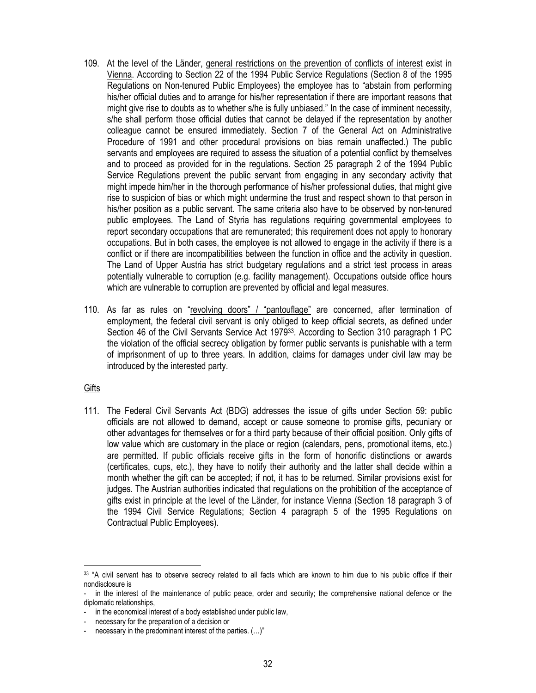- 109. At the level of the Länder, general restrictions on the prevention of conflicts of interest exist in Vienna. According to Section 22 of the 1994 Public Service Regulations (Section 8 of the 1995 Regulations on Non-tenured Public Employees) the employee has to "abstain from performing his/her official duties and to arrange for his/her representation if there are important reasons that might give rise to doubts as to whether s/he is fully unbiased." In the case of imminent necessity, s/he shall perform those official duties that cannot be delayed if the representation by another colleague cannot be ensured immediately. Section 7 of the General Act on Administrative Procedure of 1991 and other procedural provisions on bias remain unaffected.) The public servants and employees are required to assess the situation of a potential conflict by themselves and to proceed as provided for in the regulations. Section 25 paragraph 2 of the 1994 Public Service Regulations prevent the public servant from engaging in any secondary activity that might impede him/her in the thorough performance of his/her professional duties, that might give rise to suspicion of bias or which might undermine the trust and respect shown to that person in his/her position as a public servant. The same criteria also have to be observed by non-tenured public employees. The Land of Styria has regulations requiring governmental employees to report secondary occupations that are remunerated; this requirement does not apply to honorary occupations. But in both cases, the employee is not allowed to engage in the activity if there is a conflict or if there are incompatibilities between the function in office and the activity in question. The Land of Upper Austria has strict budgetary regulations and a strict test process in areas potentially vulnerable to corruption (e.g. facility management). Occupations outside office hours which are vulnerable to corruption are prevented by official and legal measures.
- 110. As far as rules on "revolving doors" / "pantouflage" are concerned, after termination of employment, the federal civil servant is only obliged to keep official secrets, as defined under Section 46 of the Civil Servants Service Act 1979<sup>33</sup>. According to Section 310 paragraph 1 PC the violation of the official secrecy obligation by former public servants is punishable with a term of imprisonment of up to three years. In addition, claims for damages under civil law may be introduced by the interested party.

**Gifts** 

111. The Federal Civil Servants Act (BDG) addresses the issue of gifts under Section 59: public officials are not allowed to demand, accept or cause someone to promise gifts, pecuniary or other advantages for themselves or for a third party because of their official position. Only gifts of low value which are customary in the place or region (calendars, pens, promotional items, etc.) are permitted. If public officials receive gifts in the form of honorific distinctions or awards (certificates, cups, etc.), they have to notify their authority and the latter shall decide within a month whether the gift can be accepted; if not, it has to be returned. Similar provisions exist for judges. The Austrian authorities indicated that regulations on the prohibition of the acceptance of gifts exist in principle at the level of the Länder, for instance Vienna (Section 18 paragraph 3 of the 1994 Civil Service Regulations; Section 4 paragraph 5 of the 1995 Regulations on Contractual Public Employees).

 $\overline{a}$ 33 "A civil servant has to observe secrecy related to all facts which are known to him due to his public office if their nondisclosure is

in the interest of the maintenance of public peace, order and security; the comprehensive national defence or the diplomatic relationships,

<sup>-</sup> in the economical interest of a body established under public law,

necessary for the preparation of a decision or

necessary in the predominant interest of the parties.  $(...)"$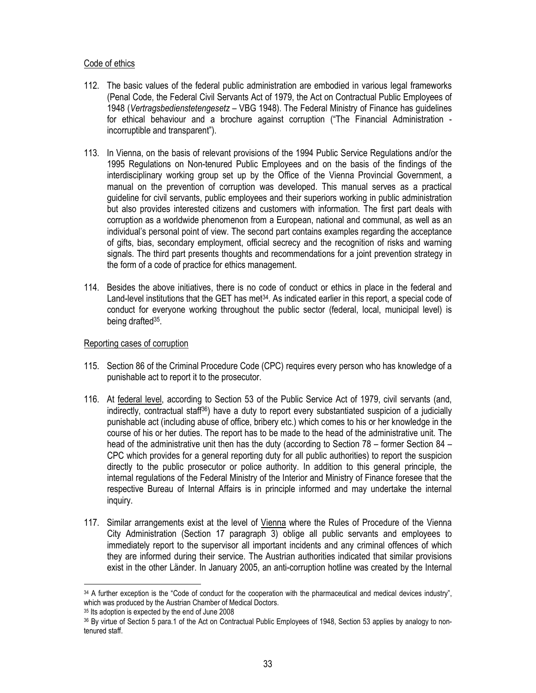### Code of ethics

- 112. The basic values of the federal public administration are embodied in various legal frameworks (Penal Code, the Federal Civil Servants Act of 1979, the Act on Contractual Public Employees of 1948 (Vertragsbedienstetengesetz – VBG 1948). The Federal Ministry of Finance has guidelines for ethical behaviour and a brochure against corruption ("The Financial Administration incorruptible and transparent").
- 113. In Vienna, on the basis of relevant provisions of the 1994 Public Service Regulations and/or the 1995 Regulations on Non-tenured Public Employees and on the basis of the findings of the interdisciplinary working group set up by the Office of the Vienna Provincial Government, a manual on the prevention of corruption was developed. This manual serves as a practical guideline for civil servants, public employees and their superiors working in public administration but also provides interested citizens and customers with information. The first part deals with corruption as a worldwide phenomenon from a European, national and communal, as well as an individual's personal point of view. The second part contains examples regarding the acceptance of gifts, bias, secondary employment, official secrecy and the recognition of risks and warning signals. The third part presents thoughts and recommendations for a joint prevention strategy in the form of a code of practice for ethics management.
- 114. Besides the above initiatives, there is no code of conduct or ethics in place in the federal and Land-level institutions that the GET has met $34$ . As indicated earlier in this report, a special code of conduct for everyone working throughout the public sector (federal, local, municipal level) is being drafted<sup>35</sup>.

### Reporting cases of corruption

- 115. Section 86 of the Criminal Procedure Code (CPC) requires every person who has knowledge of a punishable act to report it to the prosecutor.
- 116. At federal level, according to Section 53 of the Public Service Act of 1979, civil servants (and, indirectly, contractual staff36) have a duty to report every substantiated suspicion of a judicially punishable act (including abuse of office, bribery etc.) which comes to his or her knowledge in the course of his or her duties. The report has to be made to the head of the administrative unit. The head of the administrative unit then has the duty (according to Section 78 – former Section 84 – CPC which provides for a general reporting duty for all public authorities) to report the suspicion directly to the public prosecutor or police authority. In addition to this general principle, the internal regulations of the Federal Ministry of the Interior and Ministry of Finance foresee that the respective Bureau of Internal Affairs is in principle informed and may undertake the internal inquiry.
- 117. Similar arrangements exist at the level of Vienna where the Rules of Procedure of the Vienna City Administration (Section 17 paragraph 3) oblige all public servants and employees to immediately report to the supervisor all important incidents and any criminal offences of which they are informed during their service. The Austrian authorities indicated that similar provisions exist in the other Länder. In January 2005, an anti-corruption hotline was created by the Internal

 $\ddot{\phantom{a}}$ 

<sup>34</sup> A further exception is the "Code of conduct for the cooperation with the pharmaceutical and medical devices industry", which was produced by the Austrian Chamber of Medical Doctors.

<sup>35</sup> Its adoption is expected by the end of June 2008

<sup>36</sup> By virtue of Section 5 para.1 of the Act on Contractual Public Employees of 1948, Section 53 applies by analogy to nontenured staff.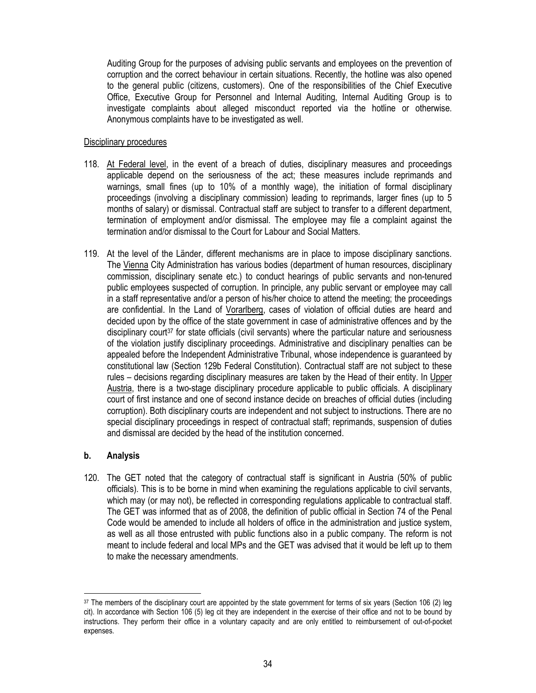Auditing Group for the purposes of advising public servants and employees on the prevention of corruption and the correct behaviour in certain situations. Recently, the hotline was also opened to the general public (citizens, customers). One of the responsibilities of the Chief Executive Office, Executive Group for Personnel and Internal Auditing, Internal Auditing Group is to investigate complaints about alleged misconduct reported via the hotline or otherwise. Anonymous complaints have to be investigated as well.

### Disciplinary procedures

- 118. At Federal level, in the event of a breach of duties, disciplinary measures and proceedings applicable depend on the seriousness of the act; these measures include reprimands and warnings, small fines (up to 10% of a monthly wage), the initiation of formal disciplinary proceedings (involving a disciplinary commission) leading to reprimands, larger fines (up to 5 months of salary) or dismissal. Contractual staff are subject to transfer to a different department, termination of employment and/or dismissal. The employee may file a complaint against the termination and/or dismissal to the Court for Labour and Social Matters.
- 119. At the level of the Länder, different mechanisms are in place to impose disciplinary sanctions. The Vienna City Administration has various bodies (department of human resources, disciplinary commission, disciplinary senate etc.) to conduct hearings of public servants and non-tenured public employees suspected of corruption. In principle, any public servant or employee may call in a staff representative and/or a person of his/her choice to attend the meeting; the proceedings are confidential. In the Land of Vorarlberg, cases of violation of official duties are heard and decided upon by the office of the state government in case of administrative offences and by the disciplinary court<sup>37</sup> for state officials (civil servants) where the particular nature and seriousness of the violation justify disciplinary proceedings. Administrative and disciplinary penalties can be appealed before the Independent Administrative Tribunal, whose independence is guaranteed by constitutional law (Section 129b Federal Constitution). Contractual staff are not subject to these rules – decisions regarding disciplinary measures are taken by the Head of their entity. In Upper Austria, there is a two-stage disciplinary procedure applicable to public officials. A disciplinary court of first instance and one of second instance decide on breaches of official duties (including corruption). Both disciplinary courts are independent and not subject to instructions. There are no special disciplinary proceedings in respect of contractual staff; reprimands, suspension of duties and dismissal are decided by the head of the institution concerned.

# b. Analysis

 $\overline{a}$ 

120. The GET noted that the category of contractual staff is significant in Austria (50% of public officials). This is to be borne in mind when examining the regulations applicable to civil servants, which may (or may not), be reflected in corresponding regulations applicable to contractual staff. The GET was informed that as of 2008, the definition of public official in Section 74 of the Penal Code would be amended to include all holders of office in the administration and justice system, as well as all those entrusted with public functions also in a public company. The reform is not meant to include federal and local MPs and the GET was advised that it would be left up to them to make the necessary amendments.

<sup>37</sup> The members of the disciplinary court are appointed by the state government for terms of six years (Section 106 (2) leg cit). In accordance with Section 106 (5) leg cit they are independent in the exercise of their office and not to be bound by instructions. They perform their office in a voluntary capacity and are only entitled to reimbursement of out-of-pocket expenses.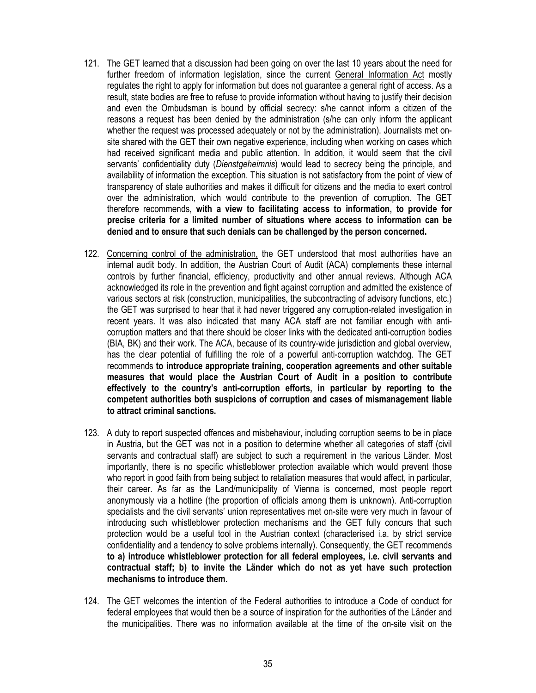- 121. The GET learned that a discussion had been going on over the last 10 years about the need for further freedom of information legislation, since the current General Information Act mostly regulates the right to apply for information but does not guarantee a general right of access. As a result, state bodies are free to refuse to provide information without having to justify their decision and even the Ombudsman is bound by official secrecy: s/he cannot inform a citizen of the reasons a request has been denied by the administration (s/he can only inform the applicant whether the request was processed adequately or not by the administration). Journalists met onsite shared with the GET their own negative experience, including when working on cases which had received significant media and public attention. In addition, it would seem that the civil servants' confidentiality duty (Dienstgeheimnis) would lead to secrecy being the principle, and availability of information the exception. This situation is not satisfactory from the point of view of transparency of state authorities and makes it difficult for citizens and the media to exert control over the administration, which would contribute to the prevention of corruption. The GET therefore recommends, with a view to facilitating access to information, to provide for precise criteria for a limited number of situations where access to information can be denied and to ensure that such denials can be challenged by the person concerned.
- 122. Concerning control of the administration, the GET understood that most authorities have an internal audit body. In addition, the Austrian Court of Audit (ACA) complements these internal controls by further financial, efficiency, productivity and other annual reviews. Although ACA acknowledged its role in the prevention and fight against corruption and admitted the existence of various sectors at risk (construction, municipalities, the subcontracting of advisory functions, etc.) the GET was surprised to hear that it had never triggered any corruption-related investigation in recent years. It was also indicated that many ACA staff are not familiar enough with anticorruption matters and that there should be closer links with the dedicated anti-corruption bodies (BIA, BK) and their work. The ACA, because of its country-wide jurisdiction and global overview, has the clear potential of fulfilling the role of a powerful anti-corruption watchdog. The GET recommends to introduce appropriate training, cooperation agreements and other suitable measures that would place the Austrian Court of Audit in a position to contribute effectively to the country's anti-corruption efforts, in particular by reporting to the competent authorities both suspicions of corruption and cases of mismanagement liable to attract criminal sanctions.
- 123. A duty to report suspected offences and misbehaviour, including corruption seems to be in place in Austria, but the GET was not in a position to determine whether all categories of staff (civil servants and contractual staff) are subject to such a requirement in the various Länder. Most importantly, there is no specific whistleblower protection available which would prevent those who report in good faith from being subject to retaliation measures that would affect, in particular, their career. As far as the Land/municipality of Vienna is concerned, most people report anonymously via a hotline (the proportion of officials among them is unknown). Anti-corruption specialists and the civil servants' union representatives met on-site were very much in favour of introducing such whistleblower protection mechanisms and the GET fully concurs that such protection would be a useful tool in the Austrian context (characterised i.a. by strict service confidentiality and a tendency to solve problems internally). Consequently, the GET recommends to a) introduce whistleblower protection for all federal employees, i.e. civil servants and contractual staff; b) to invite the Länder which do not as yet have such protection mechanisms to introduce them.
- 124. The GET welcomes the intention of the Federal authorities to introduce a Code of conduct for federal employees that would then be a source of inspiration for the authorities of the Länder and the municipalities. There was no information available at the time of the on-site visit on the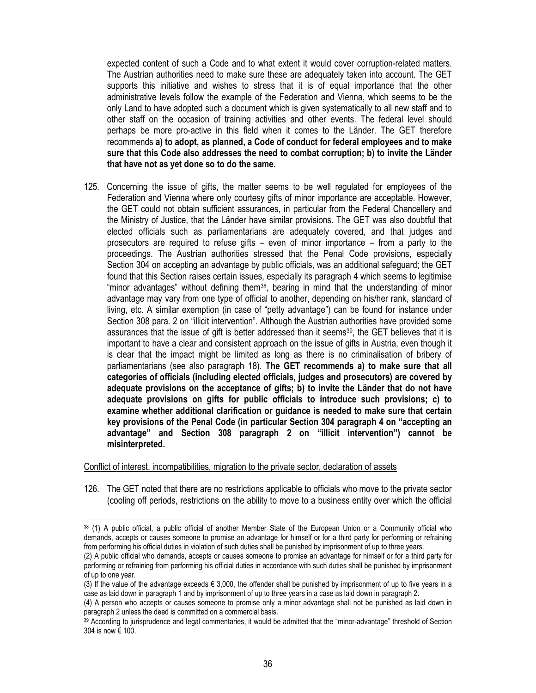expected content of such a Code and to what extent it would cover corruption-related matters. The Austrian authorities need to make sure these are adequately taken into account. The GET supports this initiative and wishes to stress that it is of equal importance that the other administrative levels follow the example of the Federation and Vienna, which seems to be the only Land to have adopted such a document which is given systematically to all new staff and to other staff on the occasion of training activities and other events. The federal level should perhaps be more pro-active in this field when it comes to the Länder. The GET therefore recommends a) to adopt, as planned, a Code of conduct for federal employees and to make sure that this Code also addresses the need to combat corruption; b) to invite the Länder that have not as yet done so to do the same.

125. Concerning the issue of gifts, the matter seems to be well regulated for employees of the Federation and Vienna where only courtesy gifts of minor importance are acceptable. However, the GET could not obtain sufficient assurances, in particular from the Federal Chancellery and the Ministry of Justice, that the Länder have similar provisions. The GET was also doubtful that elected officials such as parliamentarians are adequately covered, and that judges and prosecutors are required to refuse gifts – even of minor importance – from a party to the proceedings. The Austrian authorities stressed that the Penal Code provisions, especially Section 304 on accepting an advantage by public officials, was an additional safeguard; the GET found that this Section raises certain issues, especially its paragraph 4 which seems to legitimise "minor advantages" without defining them<sup>38</sup>, bearing in mind that the understanding of minor advantage may vary from one type of official to another, depending on his/her rank, standard of living, etc. A similar exemption (in case of "petty advantage") can be found for instance under Section 308 para. 2 on "illicit intervention". Although the Austrian authorities have provided some assurances that the issue of gift is better addressed than it seems<sup>39</sup>, the GET believes that it is important to have a clear and consistent approach on the issue of gifts in Austria, even though it is clear that the impact might be limited as long as there is no criminalisation of bribery of parliamentarians (see also paragraph 18). The GET recommends a) to make sure that all categories of officials (including elected officials, judges and prosecutors) are covered by adequate provisions on the acceptance of gifts; b) to invite the Länder that do not have adequate provisions on gifts for public officials to introduce such provisions; c) to examine whether additional clarification or guidance is needed to make sure that certain key provisions of the Penal Code (in particular Section 304 paragraph 4 on "accepting an advantage" and Section 308 paragraph 2 on "illicit intervention") cannot be misinterpreted.

Conflict of interest, incompatibilities, migration to the private sector, declaration of assets

 $\overline{a}$ 

126. The GET noted that there are no restrictions applicable to officials who move to the private sector (cooling off periods, restrictions on the ability to move to a business entity over which the official

<sup>38</sup> (1) A public official, a public official of another Member State of the European Union or a Community official who demands, accepts or causes someone to promise an advantage for himself or for a third party for performing or refraining from performing his official duties in violation of such duties shall be punished by imprisonment of up to three years.

<sup>(2)</sup> A public official who demands, accepts or causes someone to promise an advantage for himself or for a third party for performing or refraining from performing his official duties in accordance with such duties shall be punished by imprisonment of up to one year.

<sup>(3)</sup> If the value of the advantage exceeds  $\epsilon$  3,000, the offender shall be punished by imprisonment of up to five years in a case as laid down in paragraph 1 and by imprisonment of up to three years in a case as laid down in paragraph 2.

<sup>(4)</sup> A person who accepts or causes someone to promise only a minor advantage shall not be punished as laid down in paragraph 2 unless the deed is committed on a commercial basis.

<sup>39</sup> According to jurisprudence and legal commentaries, it would be admitted that the "minor-advantage" threshold of Section 304 is now € 100.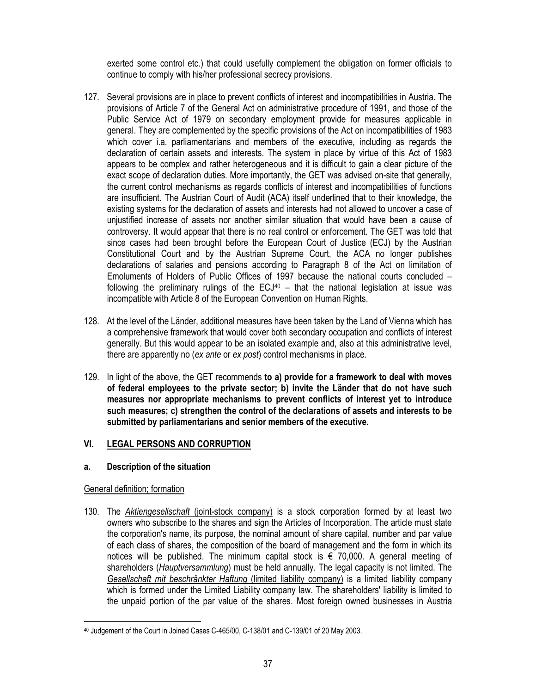exerted some control etc.) that could usefully complement the obligation on former officials to continue to comply with his/her professional secrecy provisions.

- 127. Several provisions are in place to prevent conflicts of interest and incompatibilities in Austria. The provisions of Article 7 of the General Act on administrative procedure of 1991, and those of the Public Service Act of 1979 on secondary employment provide for measures applicable in general. They are complemented by the specific provisions of the Act on incompatibilities of 1983 which cover i.a. parliamentarians and members of the executive, including as regards the declaration of certain assets and interests. The system in place by virtue of this Act of 1983 appears to be complex and rather heterogeneous and it is difficult to gain a clear picture of the exact scope of declaration duties. More importantly, the GET was advised on-site that generally, the current control mechanisms as regards conflicts of interest and incompatibilities of functions are insufficient. The Austrian Court of Audit (ACA) itself underlined that to their knowledge, the existing systems for the declaration of assets and interests had not allowed to uncover a case of unjustified increase of assets nor another similar situation that would have been a cause of controversy. It would appear that there is no real control or enforcement. The GET was told that since cases had been brought before the European Court of Justice (ECJ) by the Austrian Constitutional Court and by the Austrian Supreme Court, the ACA no longer publishes declarations of salaries and pensions according to Paragraph 8 of the Act on limitation of Emoluments of Holders of Public Offices of 1997 because the national courts concluded – following the preliminary rulings of the  $ECJ^{40}$  – that the national legislation at issue was incompatible with Article 8 of the European Convention on Human Rights.
- 128. At the level of the Länder, additional measures have been taken by the Land of Vienna which has a comprehensive framework that would cover both secondary occupation and conflicts of interest generally. But this would appear to be an isolated example and, also at this administrative level, there are apparently no (ex ante or ex post) control mechanisms in place.
- 129. In light of the above, the GET recommends to a) provide for a framework to deal with moves of federal employees to the private sector; b) invite the Länder that do not have such measures nor appropriate mechanisms to prevent conflicts of interest yet to introduce such measures; c) strengthen the control of the declarations of assets and interests to be submitted by parliamentarians and senior members of the executive.

# VI. LEGAL PERSONS AND CORRUPTION

# a. Description of the situation

# General definition; formation

130. The Aktiengesellschaft (joint-stock company) is a stock corporation formed by at least two owners who subscribe to the shares and sign the Articles of Incorporation. The article must state the corporation's name, its purpose, the nominal amount of share capital, number and par value of each class of shares, the composition of the board of management and the form in which its notices will be published. The minimum capital stock is  $\epsilon$  70,000. A general meeting of shareholders (Hauptversammlung) must be held annually. The legal capacity is not limited. The Gesellschaft mit beschränkter Haftung (limited liability company) is a limited liability company which is formed under the Limited Liability company law. The shareholders' liability is limited to the unpaid portion of the par value of the shares. Most foreign owned businesses in Austria

 $\ddot{\phantom{a}}$ 40 Judgement of the Court in Joined Cases C-465/00, C-138/01 and C-139/01 of 20 May 2003.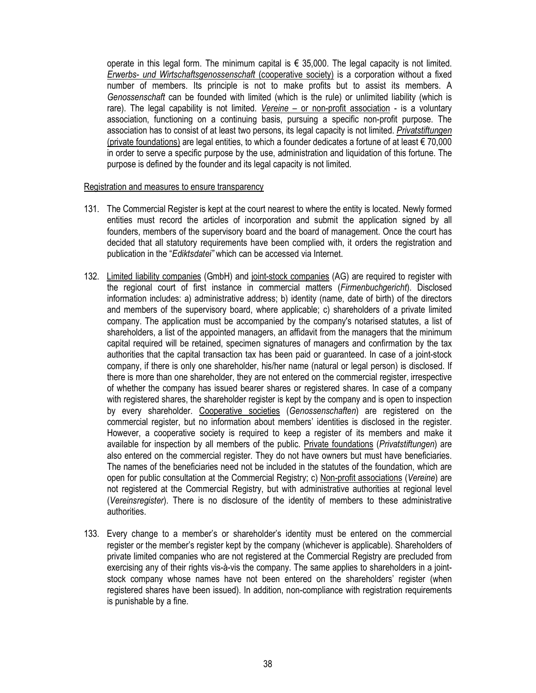operate in this legal form. The minimum capital is  $\epsilon$  35,000. The legal capacity is not limited. Erwerbs- und Wirtschaftsgenossenschaft (cooperative society) is a corporation without a fixed number of members. Its principle is not to make profits but to assist its members. A Genossenschaft can be founded with limited (which is the rule) or unlimited liability (which is rare). The legal capability is not limited. Vereine – or non-profit association - is a voluntary association, functioning on a continuing basis, pursuing a specific non-profit purpose. The association has to consist of at least two persons, its legal capacity is not limited. Privatstiftungen (private foundations) are legal entities, to which a founder dedicates a fortune of at least € 70,000 in order to serve a specific purpose by the use, administration and liquidation of this fortune. The purpose is defined by the founder and its legal capacity is not limited.

#### Registration and measures to ensure transparency

- 131. The Commercial Register is kept at the court nearest to where the entity is located. Newly formed entities must record the articles of incorporation and submit the application signed by all founders, members of the supervisory board and the board of management. Once the court has decided that all statutory requirements have been complied with, it orders the registration and publication in the "Ediktsdatei" which can be accessed via Internet.
- 132. Limited liability companies (GmbH) and joint-stock companies (AG) are required to register with the regional court of first instance in commercial matters (Firmenbuchgericht). Disclosed information includes: a) administrative address; b) identity (name, date of birth) of the directors and members of the supervisory board, where applicable; c) shareholders of a private limited company. The application must be accompanied by the company's notarised statutes, a list of shareholders, a list of the appointed managers, an affidavit from the managers that the minimum capital required will be retained, specimen signatures of managers and confirmation by the tax authorities that the capital transaction tax has been paid or guaranteed. In case of a joint-stock company, if there is only one shareholder, his/her name (natural or legal person) is disclosed. If there is more than one shareholder, they are not entered on the commercial register, irrespective of whether the company has issued bearer shares or registered shares. In case of a company with registered shares, the shareholder register is kept by the company and is open to inspection by every shareholder. Cooperative societies (Genossenschaften) are registered on the commercial register, but no information about members' identities is disclosed in the register. However, a cooperative society is required to keep a register of its members and make it available for inspection by all members of the public. Private foundations (Privatstiftungen) are also entered on the commercial register. They do not have owners but must have beneficiaries. The names of the beneficiaries need not be included in the statutes of the foundation, which are open for public consultation at the Commercial Registry; c) Non-profit associations (Vereine) are not registered at the Commercial Registry, but with administrative authorities at regional level (Vereinsregister). There is no disclosure of the identity of members to these administrative authorities.
- 133. Every change to a member's or shareholder's identity must be entered on the commercial register or the member's register kept by the company (whichever is applicable). Shareholders of private limited companies who are not registered at the Commercial Registry are precluded from exercising any of their rights vis-à-vis the company. The same applies to shareholders in a jointstock company whose names have not been entered on the shareholders' register (when registered shares have been issued). In addition, non-compliance with registration requirements is punishable by a fine.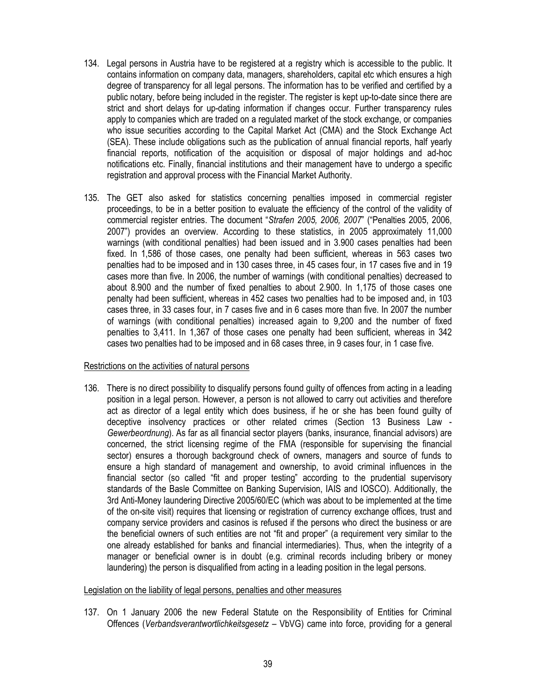- 134. Legal persons in Austria have to be registered at a registry which is accessible to the public. It contains information on company data, managers, shareholders, capital etc which ensures a high degree of transparency for all legal persons. The information has to be verified and certified by a public notary, before being included in the register. The register is kept up-to-date since there are strict and short delays for up-dating information if changes occur. Further transparency rules apply to companies which are traded on a regulated market of the stock exchange, or companies who issue securities according to the Capital Market Act (CMA) and the Stock Exchange Act (SEA). These include obligations such as the publication of annual financial reports, half yearly financial reports, notification of the acquisition or disposal of major holdings and ad-hoc notifications etc. Finally, financial institutions and their management have to undergo a specific registration and approval process with the Financial Market Authority.
- 135. The GET also asked for statistics concerning penalties imposed in commercial register proceedings, to be in a better position to evaluate the efficiency of the control of the validity of commercial register entries. The document "Strafen 2005, 2006, 2007" ("Penalties 2005, 2006, 2007") provides an overview. According to these statistics, in 2005 approximately 11,000 warnings (with conditional penalties) had been issued and in 3.900 cases penalties had been fixed. In 1,586 of those cases, one penalty had been sufficient, whereas in 563 cases two penalties had to be imposed and in 130 cases three, in 45 cases four, in 17 cases five and in 19 cases more than five. In 2006, the number of warnings (with conditional penalties) decreased to about 8.900 and the number of fixed penalties to about 2.900. In 1,175 of those cases one penalty had been sufficient, whereas in 452 cases two penalties had to be imposed and, in 103 cases three, in 33 cases four, in 7 cases five and in 6 cases more than five. In 2007 the number of warnings (with conditional penalties) increased again to 9,200 and the number of fixed penalties to 3,411. In 1,367 of those cases one penalty had been sufficient, whereas in 342 cases two penalties had to be imposed and in 68 cases three, in 9 cases four, in 1 case five.

#### Restrictions on the activities of natural persons

136. There is no direct possibility to disqualify persons found guilty of offences from acting in a leading position in a legal person. However, a person is not allowed to carry out activities and therefore act as director of a legal entity which does business, if he or she has been found guilty of deceptive insolvency practices or other related crimes (Section 13 Business Law - Gewerbeordnung). As far as all financial sector players (banks, insurance, financial advisors) are concerned, the strict licensing regime of the FMA (responsible for supervising the financial sector) ensures a thorough background check of owners, managers and source of funds to ensure a high standard of management and ownership, to avoid criminal influences in the financial sector (so called "fit and proper testing" according to the prudential supervisory standards of the Basle Committee on Banking Supervision, IAIS and IOSCO). Additionally, the 3rd Anti-Money laundering Directive 2005/60/EC (which was about to be implemented at the time of the on-site visit) requires that licensing or registration of currency exchange offices, trust and company service providers and casinos is refused if the persons who direct the business or are the beneficial owners of such entities are not "fit and proper" (a requirement very similar to the one already established for banks and financial intermediaries). Thus, when the integrity of a manager or beneficial owner is in doubt (e.g. criminal records including bribery or money laundering) the person is disqualified from acting in a leading position in the legal persons.

#### Legislation on the liability of legal persons, penalties and other measures

137. On 1 January 2006 the new Federal Statute on the Responsibility of Entities for Criminal Offences (Verbandsverantwortlichkeitsgesetz – VbVG) came into force, providing for a general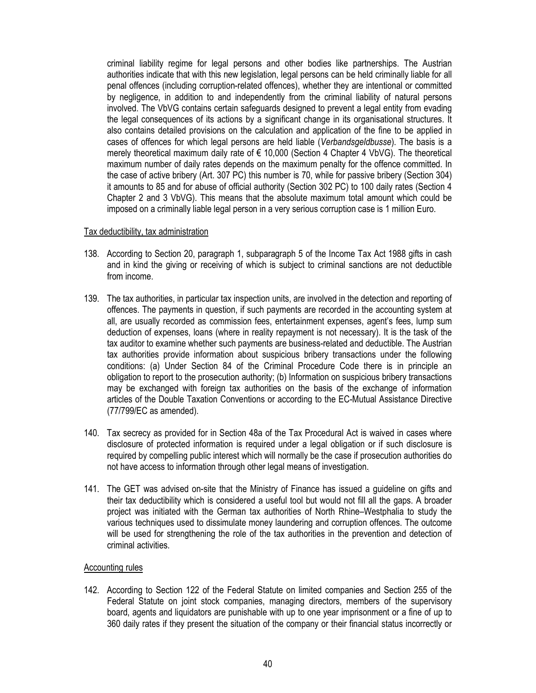criminal liability regime for legal persons and other bodies like partnerships. The Austrian authorities indicate that with this new legislation, legal persons can be held criminally liable for all penal offences (including corruption-related offences), whether they are intentional or committed by negligence, in addition to and independently from the criminal liability of natural persons involved. The VbVG contains certain safeguards designed to prevent a legal entity from evading the legal consequences of its actions by a significant change in its organisational structures. It also contains detailed provisions on the calculation and application of the fine to be applied in cases of offences for which legal persons are held liable (Verbandsgeldbusse). The basis is a merely theoretical maximum daily rate of € 10,000 (Section 4 Chapter 4 VbVG). The theoretical maximum number of daily rates depends on the maximum penalty for the offence committed. In the case of active bribery (Art. 307 PC) this number is 70, while for passive bribery (Section 304) it amounts to 85 and for abuse of official authority (Section 302 PC) to 100 daily rates (Section 4 Chapter 2 and 3 VbVG). This means that the absolute maximum total amount which could be imposed on a criminally liable legal person in a very serious corruption case is 1 million Euro.

#### Tax deductibility, tax administration

- 138. According to Section 20, paragraph 1, subparagraph 5 of the Income Tax Act 1988 gifts in cash and in kind the giving or receiving of which is subject to criminal sanctions are not deductible from income.
- 139. The tax authorities, in particular tax inspection units, are involved in the detection and reporting of offences. The payments in question, if such payments are recorded in the accounting system at all, are usually recorded as commission fees, entertainment expenses, agent's fees, lump sum deduction of expenses, loans (where in reality repayment is not necessary). It is the task of the tax auditor to examine whether such payments are business-related and deductible. The Austrian tax authorities provide information about suspicious bribery transactions under the following conditions: (a) Under Section 84 of the Criminal Procedure Code there is in principle an obligation to report to the prosecution authority; (b) Information on suspicious bribery transactions may be exchanged with foreign tax authorities on the basis of the exchange of information articles of the Double Taxation Conventions or according to the EC-Mutual Assistance Directive (77/799/EC as amended).
- 140. Tax secrecy as provided for in Section 48a of the Tax Procedural Act is waived in cases where disclosure of protected information is required under a legal obligation or if such disclosure is required by compelling public interest which will normally be the case if prosecution authorities do not have access to information through other legal means of investigation.
- 141. The GET was advised on-site that the Ministry of Finance has issued a guideline on gifts and their tax deductibility which is considered a useful tool but would not fill all the gaps. A broader project was initiated with the German tax authorities of North Rhine–Westphalia to study the various techniques used to dissimulate money laundering and corruption offences. The outcome will be used for strengthening the role of the tax authorities in the prevention and detection of criminal activities.

### Accounting rules

142. According to Section 122 of the Federal Statute on limited companies and Section 255 of the Federal Statute on joint stock companies, managing directors, members of the supervisory board, agents and liquidators are punishable with up to one year imprisonment or a fine of up to 360 daily rates if they present the situation of the company or their financial status incorrectly or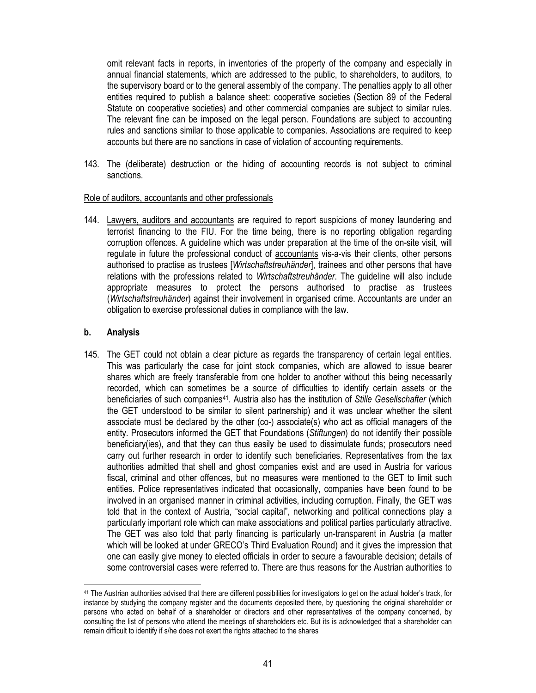omit relevant facts in reports, in inventories of the property of the company and especially in annual financial statements, which are addressed to the public, to shareholders, to auditors, to the supervisory board or to the general assembly of the company. The penalties apply to all other entities required to publish a balance sheet: cooperative societies (Section 89 of the Federal Statute on cooperative societies) and other commercial companies are subject to similar rules. The relevant fine can be imposed on the legal person. Foundations are subject to accounting rules and sanctions similar to those applicable to companies. Associations are required to keep accounts but there are no sanctions in case of violation of accounting requirements.

143. The (deliberate) destruction or the hiding of accounting records is not subject to criminal sanctions.

### Role of auditors, accountants and other professionals

144. Lawyers, auditors and accountants are required to report suspicions of money laundering and terrorist financing to the FIU. For the time being, there is no reporting obligation regarding corruption offences. A guideline which was under preparation at the time of the on-site visit, will regulate in future the professional conduct of accountants vis-a-vis their clients, other persons authorised to practise as trustees [Wirtschaftstreuhänder], trainees and other persons that have relations with the professions related to Wirtschaftstreuhänder. The quideline will also include appropriate measures to protect the persons authorised to practise as trustees (Wirtschaftstreuhänder) against their involvement in organised crime. Accountants are under an obligation to exercise professional duties in compliance with the law.

### b. Analysis

 $\ddot{\phantom{a}}$ 

145. The GET could not obtain a clear picture as regards the transparency of certain legal entities. This was particularly the case for joint stock companies, which are allowed to issue bearer shares which are freely transferable from one holder to another without this being necessarily recorded, which can sometimes be a source of difficulties to identify certain assets or the beneficiaries of such companies<sup>41</sup>. Austria also has the institution of Stille Gesellschafter (which the GET understood to be similar to silent partnership) and it was unclear whether the silent associate must be declared by the other (co-) associate(s) who act as official managers of the entity. Prosecutors informed the GET that Foundations (Stiftungen) do not identify their possible beneficiary(ies), and that they can thus easily be used to dissimulate funds; prosecutors need carry out further research in order to identify such beneficiaries. Representatives from the tax authorities admitted that shell and ghost companies exist and are used in Austria for various fiscal, criminal and other offences, but no measures were mentioned to the GET to limit such entities. Police representatives indicated that occasionally, companies have been found to be involved in an organised manner in criminal activities, including corruption. Finally, the GET was told that in the context of Austria, "social capital", networking and political connections play a particularly important role which can make associations and political parties particularly attractive. The GET was also told that party financing is particularly un-transparent in Austria (a matter which will be looked at under GRECO's Third Evaluation Round) and it gives the impression that one can easily give money to elected officials in order to secure a favourable decision; details of some controversial cases were referred to. There are thus reasons for the Austrian authorities to

<sup>41</sup> The Austrian authorities advised that there are different possibilities for investigators to get on the actual holder's track, for instance by studying the company register and the documents deposited there, by questioning the original shareholder or persons who acted on behalf of a shareholder or directors and other representatives of the company concerned, by consulting the list of persons who attend the meetings of shareholders etc. But its is acknowledged that a shareholder can remain difficult to identify if s/he does not exert the rights attached to the shares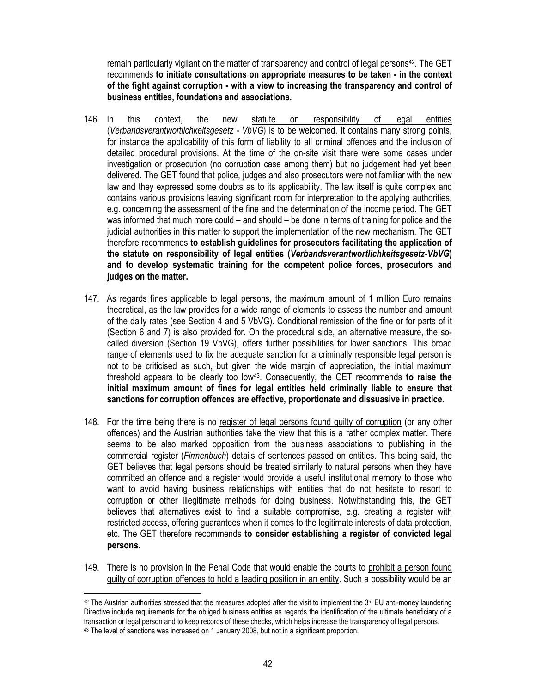remain particularly vigilant on the matter of transparency and control of legal persons<sup>42</sup>. The GET recommends to initiate consultations on appropriate measures to be taken - in the context of the fight against corruption - with a view to increasing the transparency and control of business entities, foundations and associations.

- 146. In this context, the new statute on responsibility of legal entities (Verbandsverantwortlichkeitsgesetz - VbVG) is to be welcomed. It contains many strong points, for instance the applicability of this form of liability to all criminal offences and the inclusion of detailed procedural provisions. At the time of the on-site visit there were some cases under investigation or prosecution (no corruption case among them) but no judgement had yet been delivered. The GET found that police, judges and also prosecutors were not familiar with the new law and they expressed some doubts as to its applicability. The law itself is quite complex and contains various provisions leaving significant room for interpretation to the applying authorities, e.g. concerning the assessment of the fine and the determination of the income period. The GET was informed that much more could – and should – be done in terms of training for police and the judicial authorities in this matter to support the implementation of the new mechanism. The GET therefore recommends to establish guidelines for prosecutors facilitating the application of the statute on responsibility of legal entities (Verbandsverantwortlichkeitsgesetz-VbVG) and to develop systematic training for the competent police forces, prosecutors and judges on the matter.
- 147. As regards fines applicable to legal persons, the maximum amount of 1 million Euro remains theoretical, as the law provides for a wide range of elements to assess the number and amount of the daily rates (see Section 4 and 5 VbVG). Conditional remission of the fine or for parts of it (Section 6 and 7) is also provided for. On the procedural side, an alternative measure, the socalled diversion (Section 19 VbVG), offers further possibilities for lower sanctions. This broad range of elements used to fix the adequate sanction for a criminally responsible legal person is not to be criticised as such, but given the wide margin of appreciation, the initial maximum threshold appears to be clearly too low<sup>43</sup>. Consequently, the GET recommends to raise the initial maximum amount of fines for legal entities held criminally liable to ensure that sanctions for corruption offences are effective, proportionate and dissuasive in practice.
- 148. For the time being there is no register of legal persons found guilty of corruption (or any other offences) and the Austrian authorities take the view that this is a rather complex matter. There seems to be also marked opposition from the business associations to publishing in the commercial register (Firmenbuch) details of sentences passed on entities. This being said, the GET believes that legal persons should be treated similarly to natural persons when they have committed an offence and a register would provide a useful institutional memory to those who want to avoid having business relationships with entities that do not hesitate to resort to corruption or other illegitimate methods for doing business. Notwithstanding this, the GET believes that alternatives exist to find a suitable compromise, e.g. creating a register with restricted access, offering guarantees when it comes to the legitimate interests of data protection, etc. The GET therefore recommends to consider establishing a register of convicted legal persons.
- 149. There is no provision in the Penal Code that would enable the courts to prohibit a person found guilty of corruption offences to hold a leading position in an entity. Such a possibility would be an

 $\overline{a}$  $42$  The Austrian authorities stressed that the measures adopted after the visit to implement the  $3^{rd}$  EU anti-money laundering Directive include requirements for the obliged business entities as regards the identification of the ultimate beneficiary of a transaction or legal person and to keep records of these checks, which helps increase the transparency of legal persons. 43 The level of sanctions was increased on 1 January 2008, but not in a significant proportion.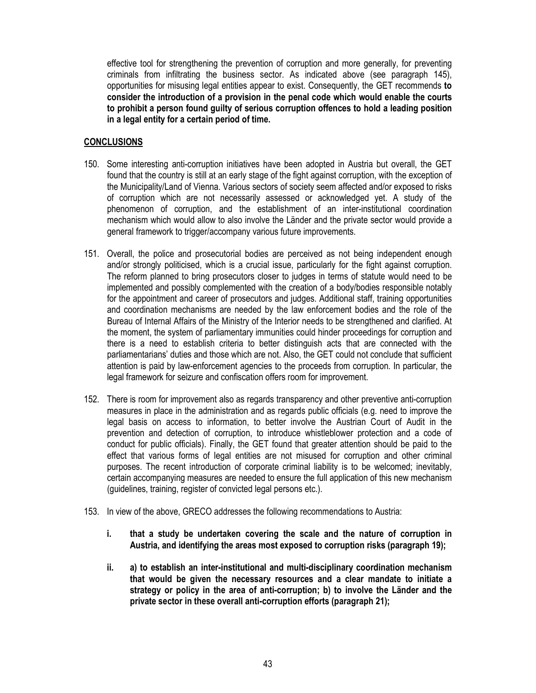effective tool for strengthening the prevention of corruption and more generally, for preventing criminals from infiltrating the business sector. As indicated above (see paragraph 145), opportunities for misusing legal entities appear to exist. Consequently, the GET recommends to consider the introduction of a provision in the penal code which would enable the courts to prohibit a person found guilty of serious corruption offences to hold a leading position in a legal entity for a certain period of time.

# **CONCLUSIONS**

- 150. Some interesting anti-corruption initiatives have been adopted in Austria but overall, the GET found that the country is still at an early stage of the fight against corruption, with the exception of the Municipality/Land of Vienna. Various sectors of society seem affected and/or exposed to risks of corruption which are not necessarily assessed or acknowledged yet. A study of the phenomenon of corruption, and the establishment of an inter-institutional coordination mechanism which would allow to also involve the Länder and the private sector would provide a general framework to trigger/accompany various future improvements.
- 151. Overall, the police and prosecutorial bodies are perceived as not being independent enough and/or strongly politicised, which is a crucial issue, particularly for the fight against corruption. The reform planned to bring prosecutors closer to judges in terms of statute would need to be implemented and possibly complemented with the creation of a body/bodies responsible notably for the appointment and career of prosecutors and judges. Additional staff, training opportunities and coordination mechanisms are needed by the law enforcement bodies and the role of the Bureau of Internal Affairs of the Ministry of the Interior needs to be strengthened and clarified. At the moment, the system of parliamentary immunities could hinder proceedings for corruption and there is a need to establish criteria to better distinguish acts that are connected with the parliamentarians' duties and those which are not. Also, the GET could not conclude that sufficient attention is paid by law-enforcement agencies to the proceeds from corruption. In particular, the legal framework for seizure and confiscation offers room for improvement.
- 152. There is room for improvement also as regards transparency and other preventive anti-corruption measures in place in the administration and as regards public officials (e.g. need to improve the legal basis on access to information, to better involve the Austrian Court of Audit in the prevention and detection of corruption, to introduce whistleblower protection and a code of conduct for public officials). Finally, the GET found that greater attention should be paid to the effect that various forms of legal entities are not misused for corruption and other criminal purposes. The recent introduction of corporate criminal liability is to be welcomed; inevitably, certain accompanying measures are needed to ensure the full application of this new mechanism (guidelines, training, register of convicted legal persons etc.).
- 153. In view of the above, GRECO addresses the following recommendations to Austria:
	- i. that a study be undertaken covering the scale and the nature of corruption in Austria, and identifying the areas most exposed to corruption risks (paragraph 19);
	- ii. a) to establish an inter-institutional and multi-disciplinary coordination mechanism that would be given the necessary resources and a clear mandate to initiate a strategy or policy in the area of anti-corruption; b) to involve the Länder and the private sector in these overall anti-corruption efforts (paragraph 21);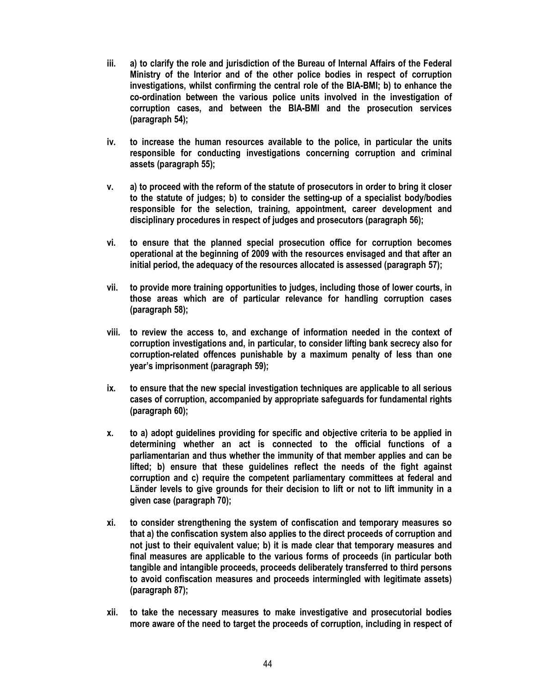- iii. a) to clarify the role and jurisdiction of the Bureau of Internal Affairs of the Federal Ministry of the Interior and of the other police bodies in respect of corruption investigations, whilst confirming the central role of the BIA-BMI; b) to enhance the co-ordination between the various police units involved in the investigation of corruption cases, and between the BIA-BMI and the prosecution services (paragraph 54);
- iv. to increase the human resources available to the police, in particular the units responsible for conducting investigations concerning corruption and criminal assets (paragraph 55);
- v. a) to proceed with the reform of the statute of prosecutors in order to bring it closer to the statute of judges; b) to consider the setting-up of a specialist body/bodies responsible for the selection, training, appointment, career development and disciplinary procedures in respect of judges and prosecutors (paragraph 56);
- vi. to ensure that the planned special prosecution office for corruption becomes operational at the beginning of 2009 with the resources envisaged and that after an initial period, the adequacy of the resources allocated is assessed (paragraph 57);
- vii. to provide more training opportunities to judges, including those of lower courts, in those areas which are of particular relevance for handling corruption cases (paragraph 58);
- viii. to review the access to, and exchange of information needed in the context of corruption investigations and, in particular, to consider lifting bank secrecy also for corruption-related offences punishable by a maximum penalty of less than one year's imprisonment (paragraph 59);
- ix. to ensure that the new special investigation techniques are applicable to all serious cases of corruption, accompanied by appropriate safeguards for fundamental rights (paragraph 60);
- x. to a) adopt guidelines providing for specific and objective criteria to be applied in determining whether an act is connected to the official functions of a parliamentarian and thus whether the immunity of that member applies and can be lifted; b) ensure that these guidelines reflect the needs of the fight against corruption and c) require the competent parliamentary committees at federal and Länder levels to give grounds for their decision to lift or not to lift immunity in a given case (paragraph 70);
- xi. to consider strengthening the system of confiscation and temporary measures so that a) the confiscation system also applies to the direct proceeds of corruption and not just to their equivalent value; b) it is made clear that temporary measures and final measures are applicable to the various forms of proceeds (in particular both tangible and intangible proceeds, proceeds deliberately transferred to third persons to avoid confiscation measures and proceeds intermingled with legitimate assets) (paragraph 87);
- xii. to take the necessary measures to make investigative and prosecutorial bodies more aware of the need to target the proceeds of corruption, including in respect of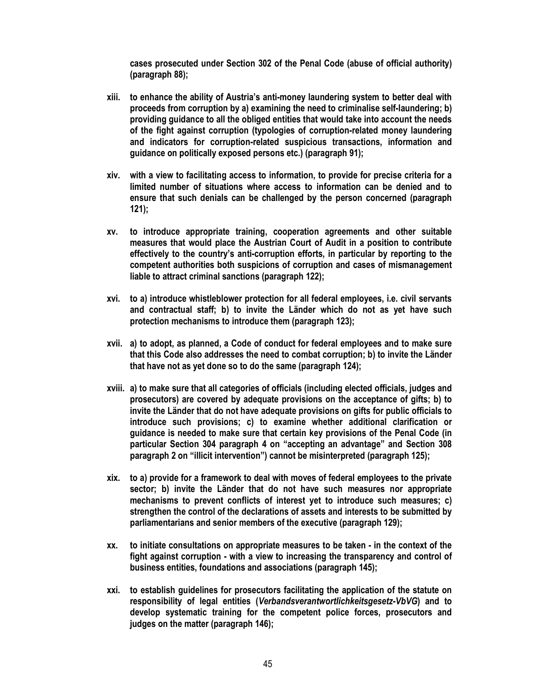cases prosecuted under Section 302 of the Penal Code (abuse of official authority) (paragraph 88);

- xiii. to enhance the ability of Austria's anti-money laundering system to better deal with proceeds from corruption by a) examining the need to criminalise self-laundering; b) providing guidance to all the obliged entities that would take into account the needs of the fight against corruption (typologies of corruption-related money laundering and indicators for corruption-related suspicious transactions, information and guidance on politically exposed persons etc.) (paragraph 91);
- xiv. with a view to facilitating access to information, to provide for precise criteria for a limited number of situations where access to information can be denied and to ensure that such denials can be challenged by the person concerned (paragraph 121);
- xv. to introduce appropriate training, cooperation agreements and other suitable measures that would place the Austrian Court of Audit in a position to contribute effectively to the country's anti-corruption efforts, in particular by reporting to the competent authorities both suspicions of corruption and cases of mismanagement liable to attract criminal sanctions (paragraph 122);
- xvi. to a) introduce whistleblower protection for all federal employees, i.e. civil servants and contractual staff; b) to invite the Länder which do not as yet have such protection mechanisms to introduce them (paragraph 123);
- xvii. a) to adopt, as planned, a Code of conduct for federal employees and to make sure that this Code also addresses the need to combat corruption; b) to invite the Länder that have not as yet done so to do the same (paragraph 124);
- xviii. a) to make sure that all categories of officials (including elected officials, judges and prosecutors) are covered by adequate provisions on the acceptance of gifts; b) to invite the Länder that do not have adequate provisions on gifts for public officials to introduce such provisions; c) to examine whether additional clarification or guidance is needed to make sure that certain key provisions of the Penal Code (in particular Section 304 paragraph 4 on "accepting an advantage" and Section 308 paragraph 2 on "illicit intervention") cannot be misinterpreted (paragraph 125);
- xix. to a) provide for a framework to deal with moves of federal employees to the private sector; b) invite the Länder that do not have such measures nor appropriate mechanisms to prevent conflicts of interest yet to introduce such measures; c) strengthen the control of the declarations of assets and interests to be submitted by parliamentarians and senior members of the executive (paragraph 129);
- xx. to initiate consultations on appropriate measures to be taken in the context of the fight against corruption - with a view to increasing the transparency and control of business entities, foundations and associations (paragraph 145);
- xxi. to establish guidelines for prosecutors facilitating the application of the statute on responsibility of legal entities (Verbandsverantwortlichkeitsgesetz-VbVG) and to develop systematic training for the competent police forces, prosecutors and judges on the matter (paragraph 146);